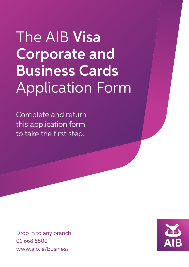# The AIB Visa Corporate and Business Cards Application Form

Complete and return this application form to take the first step.

Drop in to any branch 01 668 5500 www.aib.ie/business

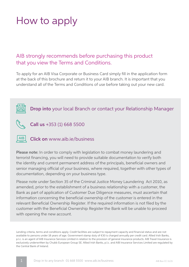## How to apply

## AIB strongly recommends before purchasing this product that you view the Terms and Conditions.

To apply for an AIB Visa Corporate or Business Card simply fill in the application form at the back of this brochure and return it to your AIB branch. It is important that you understand all of the Terms and Conditions of use before taking out your new card.





#### **AIB** Click on www.aib.ie/business

Please note: In order to comply with legislation to combat money laundering and terrorist financing, you will need to provide suitable documentation to verify both the identity and current permanent address of the principals, beneficial owners and senior managing official of your business, where required, together with other types of documentation, depending on your business type.

Please note under Section 35 of the Criminal Justice Money Laundering Act 2010, as amended, prior to the establishment of a business relationship with a customer, the Bank as part of application of Customer Due Diligence measures, must ascertain that information concerning the beneficial ownership of the customer is entered in the relevant Beneficial Ownership Register. If the required information is not filed by the customer with the Beneficial Ownership Register the Bank will be unable to proceed with opening the new account.

Lending criteria, terms and conditions apply. Credit facilities are subject to repayment capacity and financial status and are not available to persons under 18 years of age. Government stamp duty of €30 is charged annually per credit card. Allied Irish Banks, p.l.c. is an agent of AIB Insurance Services Limited in relation to the provision of general insurance products. AIB Travel Insurance is exclusively underwritten by Chubb European Group SE. Allied Irish Banks, p.l.c. and AIB Insurance Services Limited are regulated by the Central Bank of Ireland.

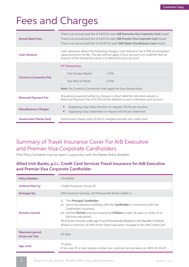## Fees and Charges

| <b>Annual Bank Fees</b>        | There is an annual bank fee of €200 for each AIB Executive Visa Corporate Card issued.<br>There is an annual bank fee of €100 for each AIB Premier Visa Corporate Card issued.<br>There is an annual bank fee of $\epsilon$ 19.05 for each AIB Classic Visa Business Card issued. |
|--------------------------------|-----------------------------------------------------------------------------------------------------------------------------------------------------------------------------------------------------------------------------------------------------------------------------------|
| <b>Cash Advance</b>            | Cash advances attract the following charges: Cash Advance Fee 1.75% of transaction<br>value (minimum €1.90). This fee will not apply if your account is in credit for the full<br>amount of the transaction when it is debited to your account.                                   |
|                                | <b>FX Transactions</b>                                                                                                                                                                                                                                                            |
|                                | 1.75%<br>Visa Europe Region                                                                                                                                                                                                                                                       |
| <b>Currency Conversion Fee</b> | Visa Rest of World<br>2.75%                                                                                                                                                                                                                                                       |
|                                | Note: No Currency Conversion Fees apply on Euro transactions.                                                                                                                                                                                                                     |
| <b>Returned Payment Fee</b>    | Should any payment either by cheque or direct debit be returned unpaid, a<br>Returned Payment Fee of €7.00 will be debited to each individual card account.                                                                                                                       |
| <b>Miscellaneous Charges</b>   | Supplying Copy Sales Voucher on request: €5.00 per voucher<br>$\bullet$<br>Supplying Copy Statement on request: €4.00 per statement<br>$\bullet$                                                                                                                                  |
| <b>Government Stamp Duty</b>   | Government stamp duty of $\epsilon$ 30 is charged annually per credit card.                                                                                                                                                                                                       |

## Summary of Travel Insurance Cover For AIB Executive and Premier Visa Corporate Cardholders

(This Policy Schedule must be read in conjunction with the Master Policy Booklet)

### Allied Irish Banks, p.l.c. Credit Card Services Travel Insurance for AIB Executive and Premier Visa Corporate Cardholder

| <b>Policy Number:</b>                     | <b>IAS 84859</b>                                                                                                                                                                                                                                                                                                                                                                                                                                     |
|-------------------------------------------|------------------------------------------------------------------------------------------------------------------------------------------------------------------------------------------------------------------------------------------------------------------------------------------------------------------------------------------------------------------------------------------------------------------------------------------------------|
| Underwritten by:                          | Chubb European Group SE                                                                                                                                                                                                                                                                                                                                                                                                                              |
| Arranged by:                              | AIB Insurance Services, 10 Molesworth Street, Dublin 2                                                                                                                                                                                                                                                                                                                                                                                               |
| <b>Persons Insured:</b>                   | The Principal Cardholder<br>(i)<br>Up to two persons travelling with the <b>Cardholder</b> in connection with the<br>(ii)<br>Cardholder's business:<br>(iii) His/her <b>Partner</b> and accompanying <b>Children</b> (under 18 years or under 23 in<br>full-time education)<br>All of whom must be under age 75 and Permanently Resident in the Republic of Ireland.<br>Where a minimum of 50% of the Fares have been charged to the AIB Credit Card |
| <b>Maximum period</b><br>of any one Trip: | 45 days                                                                                                                                                                                                                                                                                                                                                                                                                                              |
| <b>Age Limit:</b>                         | 75 years<br>(if you are 75 or over, please contact our customer service team on 1800 24 24 67)                                                                                                                                                                                                                                                                                                                                                       |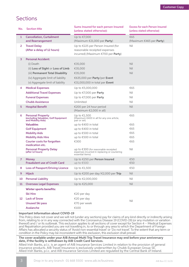## Sections

| No. | <b>Section title</b>                                                                                                                                                                                                                                                                                    | Sums Insured for each person Insured<br>(unless stated otherwise):                                                                                                                                                                                                                                            | <b>Excess for each Person Insured</b><br>(unless stated otherwise) |
|-----|---------------------------------------------------------------------------------------------------------------------------------------------------------------------------------------------------------------------------------------------------------------------------------------------------------|---------------------------------------------------------------------------------------------------------------------------------------------------------------------------------------------------------------------------------------------------------------------------------------------------------------|--------------------------------------------------------------------|
| 1   | <b>Cancellation, Curtailment</b><br>and Rearrangement                                                                                                                                                                                                                                                   | Up to €7,000<br>(Maximum €21,000 per Party)                                                                                                                                                                                                                                                                   | €65<br>(Maximum $\epsilon$ 465 per <b>Party</b> )                  |
| 2   | <b>Travel Delay</b><br>(After a delay of 12 hours)                                                                                                                                                                                                                                                      | Up to €225 per Person Insured (for<br>reasonable receipted expenses<br>incurred) (Maximum €700 per Party)                                                                                                                                                                                                     | Nil                                                                |
| 3   | <b>Personal Accident:</b><br>(i) Death<br>(ii) Loss of Sight or Loss of Limb<br>(iii) Permanent Total Disability<br>(iv) Aggregate limit of liability<br>(v) Aggregate limit of liability                                                                                                               | €35,000<br>€35,000<br>€35,000<br>€635,000 per Party/per Event<br>€31,000,000 in total per Event                                                                                                                                                                                                               | Nil<br>Nil<br>Nil                                                  |
| 4   | <b>Medical Expenses</b><br><b>Additional Travel Expenses</b><br><b>Funeral Expenses</b><br><b>Chubb Assistance</b>                                                                                                                                                                                      | Up to €5,000,000<br>Up to $\epsilon$ 7,000 per <b>Party</b><br>Up to $\epsilon$ 7,000 per <b>Party</b><br>Unlimited                                                                                                                                                                                           | €65<br>Nil<br>Nil<br>Nil                                           |
| 5   | <b>Hospital Benefit</b>                                                                                                                                                                                                                                                                                 | €200 per 24 hour period<br>(Maximum €2,000 in all)                                                                                                                                                                                                                                                            | <b>Nil</b>                                                         |
| 6   | <b>Personal Property</b><br>(excluding Valuables, Golf Equipment<br>and Mobility Aids)<br><b>Valuables</b><br><b>Golf Equipment</b><br><b>Mobility Aids</b><br><b>Mobility Aids Hire</b><br><b>Courier costs for forgotten</b><br>medication etc.<br><b>Personal Property Delay</b><br>(after 12 hours) | Up to €1,500<br>(Maximum $\epsilon$ 400 in all for any one article,<br>pair or set)<br>up to €400 in total<br>up to €400 in total<br>up to €500 in total<br>up to €500 in total<br>€300<br>up to $\epsilon$ 300 (for reasonable receipted<br>expenses incurred in replacing or couriering<br>essential items) | €65<br>€65<br>€65<br>€65<br>€65<br>€65<br>Nil                      |
| 7   | <b>Money</b><br><b>Fraudulent use of Credit Card</b>                                                                                                                                                                                                                                                    | Up to €250 per Person Insured<br>up to €500                                                                                                                                                                                                                                                                   | €50<br>€50                                                         |
| 8   | <b>Loss of Passport/Driving Licence</b>                                                                                                                                                                                                                                                                 | Up to €1,500                                                                                                                                                                                                                                                                                                  | €50                                                                |
| 9   | <b>Hijack</b>                                                                                                                                                                                                                                                                                           | Up to €200 per day/€2,000 per Trip                                                                                                                                                                                                                                                                            | Nil                                                                |
| 10  | <b>Personal Liability</b>                                                                                                                                                                                                                                                                               | Up to €2,000,000                                                                                                                                                                                                                                                                                              | Nil                                                                |
| 11  | <b>Overseas Legal Expenses</b>                                                                                                                                                                                                                                                                          | Up to €25,000                                                                                                                                                                                                                                                                                                 | Nil                                                                |
| 12  | <b>Winter sports benefits:</b><br><b>Ski Hire</b><br><b>Lack of Snow</b><br><b>Unused Ski pass</b><br>Avalanche                                                                                                                                                                                         | €20 per day<br>€20 per day<br>€70 per week<br>€100                                                                                                                                                                                                                                                            | Nil                                                                |

#### **Important Information about COVID-19**

This Policy does not cover and we will not (under any sections) pay for claims of any kind directly or indirectly arising from, relating to or in any way connected with the Coronavirus Disease 19 (COVID-19) (or any mutation or variation thereof) and / or its outbreak. This exclusion applies to all sections of cover except for Section 4 – Medical Expenses and Repatriation provided you are not travelling in, to or through any area to which the Department of Foreign Affairs has allocated a security status of 'Avoid non-essential travel' or 'Do not travel'. To the extent that any term or condition in the Policy may be inconsistent with this exclusion, this exclusion shall prevail.

#### **The cover available under your AIB Annual Multi Trip Travel Insurance may end before your anniversary date, if the facility is withdrawn by AIB Credit Card Services.**

Allied Irish Banks, p.l.c. is an agent of AIB Insurance Services Limited in relation to the provision of general insurance products. AIB Travel Insurance is exclusively underwritten by Chubb European Group SE. Allied Irish Banks, p.l.c. and AIB Insurance Services Limited are regulated by the Central Bank of Ireland.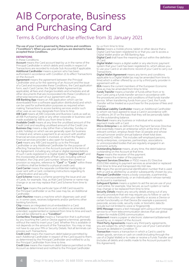## AIB Corporate, Business and Purchasing Card

## Terms & Conditions of Use effective from 31 January 2021

The use of your Card is governed by these terms and conditions ("Conditions"). When you use your Card you are deemed to have accepted these Conditions.

#### **DEFINITIONS**

#### In these Conditions:

**Account** means the Card account kept by us in the name of the Principal Cardholder in which debits and credits in respect of Transactions are recorded to include Sub Account(s) if applicable. Additional Cardholder means a person who has been authorised in accordance with Condition 21 to effect Transactions on the Account.

Agreement means the agreement between the Principal Cardholder and us for the opening of an Account and the issue of a Card and incorporates these Conditions, the Card application form, each Card Carrier, the Digital Wallet Agreement (as applicable), all fees and charges booklets and schedules and all other documents that are incorporated into these Conditions or otherwise become part of our agreement with you.

AIB Banking App means an AIB application which can be downloaded from a software application distributor(s) and which can be used for authentication purposes as required when making Transactions to access banking services and/or such other uses as we may designate from time to time.

AIB Card means all AIB Corporate and Business Cards as well as all AIB Purchasing Cards or any other corporate or business card made available by AIB to you from time to time.

Available Credit means at any time the unutilised amount of the Credit Limit and resulting unutilised amount of the Credit Line. Business Day means a day (other than a Saturday, Sunday or public holiday) on which we are generally open for business in Ireland and, where a payment to an account with another financial services provider is involved, on which the Payee's financial services provider is also open for business.

Card means any AIB Card issued by us to the Principal Cardholder or any Additional Cardholder for the purpose of effecting Transactions on the Account pursuant to the terms of the Agreement, including any virtual or digital representations of such Cards registered in a Digital Wallet (a "Digital Card") and this incorporates all elements of that Card, including without limitation, the Chip and Card number. Where the context or provision so requires, reference to "Card" or "Cards" within these Conditions shall be limited to a physical credit card.

Card Carrier means the separate confidential mailing slip or cover sent with a Card, containing instructions regarding its authentication and security.

Card Scheme means a scheme governing the issue and use of Cards, for example, Visa, as that Card Scheme or name may change or as we may replace that Card Scheme from time to time.

Card Type means the particular type of AIB Card issued to the Principal Cardholder or as the case may be, an Additional **Cardholder** 

Cash Machine means a machine which dispenses cash and/ or, in some cases, receives lodgments and/or performs other banking functions.

Chip means an integrated circuit embedded in a Card. Conditions means these terms and conditions as amended, extended, supplemented or replaced from time to time and each one will be referred to as a "Condition".

Contactless Transaction means a Transaction that is authorised by you touching the Card or Device against a terminal, generally without the need to insert your Card. Whether this is available or not depends on the amount of the Transaction. You may or may not have to use your PIN or Security Details. Not all terminals can process such Transactions.

Credit Limit means the maximum debit balance permitted by each Additional Cardholder in respect of the Card issued to them, as determined by the Principal Cardholder and notified to us by the Principal Cardholder from time to time.

Credit Line means the maximum debit balance permitted on the Account as determined and notified to the Principal Cardholder

by us from time to time.

Device means a mobile phone, tablet or other device that a Digital Card has been registered to or that you use to access a Digital Wallet and/or an AIB Banking App.

Digital Card shall have the meaning set out within the definition of Card.

Digital Wallet means a digital wallet or any electronic payment system that your Card has been registered to, which allows you to use your Card or an electronic record of your Card to carry out Transactions.

Digital Wallet Agreement means any terms and conditions applicable to a Digital Wallet (as may be amended from time to time) which is either offered by us or by a third party provider in agreement with us.

EEA means the current members of the European Economic Area as may be amended from time to time.

Funds Transfer means a transfer of funds either from or to your Card using a funds transfer service in accordance with the procedures and terms and conditions of that funds transfer service. When transferring funds from your Card, the Funds Transfer will be treated as a purchase for the purpose of fees and charges.

Individual Liability Cardholder means an Additional Cardholder to whom we have agreed to issue a Card in accordance with Conditions 24-37 on the basis that they will be personally liable for the outstanding balance.

Merchant means any business or individual who accepts payment made with a Card.

Micro-Enterprise is as defined in the Payment Services Directive and essentially means an enterprise which at the time of the relevant contract, employs fewer than 10 people and whose annual turnover and/or annual balance sheet total does not exceed €2 million. This includes self-employed persons, family enterprises, companies, partnerships, associations or unincorporated bodies that are regularly engaged in an economic activity.

Outstanding Balance means, at any time, the debit balance outstanding on the Account at that time.

Payee means the receiver of the payment. Payer means the maker of the payment.

Payment Services Directive or PSD2 means EU Directive 2015/2366 relating to payment services as amended or replaced from time to time and transposed into Irish law.

PIN means the secret personal identification number that is used with a Card as allotted by us and/or subsequently chosen by you. Principal Cardholder means a body corporate, a partnership, other unincorporated body, or an individual(s) in whose name(s) an Account is maintained.

Safeguard System means a system to aid the secure use of your Card online, for example, Visa Secure, as such system or name may change or be replaced from time to time.

Security Details means any security details arising out of any security procedure that we may require you to follow or use to make an instruction, confirm your identity or access a Device or certain functionality on that Device (for example a password, passcode, access code, security code, or biometric data (to include but not limited to voice or fingerprint)).

SMS Message means a text message sent using a short message service to or from telecommunication devices that use global system for mobile (GSM) communication.

Statement means a paper or electronic statement (eStatement) issued by us, in respect of the Account.

Third Party Agreements means any third party agreements, you are subject to, which relate to your use of your Card and/or Account as detailed in Condition 71.

Transaction means a transaction in which a Card is used to obtain goods, services or cash on credit (including through the use of a Digital Wallet) or to make or receive a Funds Transfer and (includes all debits and credits made to the Account pursuant to this Agreement).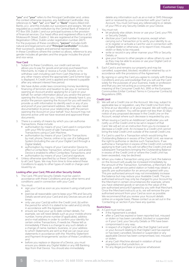"you" and "your" refers to the Principal Cardholder and, unless the context otherwise requires, any Additional Cardholder. Any references to "we"; "us"; and "our" or "Bank" means Allied Irish Banks, p.l.c. and this includes our successors and assigns. We are regulated as a credit institution by the Central Bank of Ireland of PO Box 559, Dublin 1 and our principal business is the provision of financial services. Our head office and registered office is at 10 Molesworth Street, Dublin 2. We are registered at the Companies Registration Office, Dublin under registration number 24173. For the purposes of these conditions, "person" includes both natural and legal persons and "Principal Cardholder" includes their successors, assigns and personal representatives. In these Conditions where the context so allows, reference to any gender includes all genders and the singular includes the plural and vice versa.

### **Your Card**<br>1 Subject

- 1. Subject to these Conditions, our credit card service allows you to pay for goods and services purchased from Merchants, to make or receive a Funds Transfer, or to withdraw cash including cash from Cash Machines or by any other means where the appropriate Card Scheme logo is displayed. A Credit Limit is applied and interest is payable after any relevant interest free period.
- 2. We have duties under laws concerning money laundering, financing of terrorism and taxation to ask you, or someone opening an Account and/or applying for a Card on your behalf, for certain information about you and/or the person opening the Account for you. Unless we already have it, you and/or the person opening the Account for you will need to provide us with information to identify each or any of you and proof of your permanent address. We may also need documentation to prove your relationship with the person opening the Account on your behalf. Your Account may not become active until we have received and approved these documents.
- 3. There is a variety of means by which you can authorise Transactions, these include:
	- authorisation by means of your Card used in conjunction with your PIN for point of sale Transactions or Transactions using a Cash Machine;
	- authorisation by means of your Card for Transactions by mail, phone, Device, online or by use of a Safeguard System (including the use of your Digital Card through a Digital Wallet);
	- authorisation by means of your Card and/or Device to effect a Contactless Transaction, where your Card and/or Device is enabled to effect Contactless Transactions; and
- authorisation by means of your Card and signature. Unless otherwise specified by us these Conditions apply to all Card Types. We may from time to time extend these Conditions to apply to other types of credit or charge card issued by us.

#### Looking after your Card, PIN and other Security Details

- The Card, PIN and Security Details must be used in accordance with these Conditions and any other terms and conditions used in connection with your Card.
- 6. You must:
	- sign your Card as soon as you receive it using a ball point pen;
	- exercise all reasonable care to keep your PIN and Security Details secret and your Card and any Devices secure at all times;
	- only use your Card (a) within the Credit Limit, (b) within the period for which it is stated to be valid and (c) strictly in accordance with the Agreement;
	- ensure we have your up to date contact details. For example, we will need details such as your mobile phone number, home phone number (if applicable), address and e-mail address in order to confirm your identity for certain online Transactions, if needs be. Please tell us immediately if there is a change to any such details or a change of name, bankers, business, or your address to which Statements are sent so that we can issue your statements in accordance with the 'Monthly Statement and Payment Arrangements' section of these Conditions; and
	- before you replace or dispose of a Device, you must ensure you delete any Digital Wallet or any AIB Banking App from that Device. You should also immediately

delete any information such as an e mail or SMS Message sent or received by you in connection with your Card or Account. You must not have any reference(s) to or details of your PIN or any Security Details on your Device.

- You must not:
	- let anybody else obtain, know or use your Card, your PIN or Security Details;
	- disclose your Card number to anyone, except when carrying out a Transaction or to verify your identity to us or to register or activate a Card for use in connection with a Digital Wallet or otherwise, or to report it lost, misused, stolen or likely to be misused;
	- write or record in any other manner your PIN or Security Details; or
	- give your Device to other people or allow others to use it as they may be able to access or use your Digital Card or AIB Banking App.
- 8. Each Card is and remains our property and may be cancelled, suspended, blocked, recalled or retained by us in accordance with the provisions of the Agreement.
- 9. By signing or using the Card you agree to comply with these Conditions and you acknowledge that you will use the Card solely for the purposes of your business, trade or profession and that you are not acting as a consumer within the meaning of the Consumer Credit Act, 1995 or the European Communities (Unfair Contract Terms in Consumer Contracts) Regulations 1995.

#### Credit Limit

- 10. We will set a Credit Line on the Account. We may, subject to applicable law or regulation, vary the Credit Line from time to time at our discretion or at your request. We will notify you of any such variation. You will be given not less than 10 days' notice of any proposed decrease in the Credit Line on the Account, except where such decrease is requested by you.
- 11. When issuing a Card to an Additional Cardholder you will notify us of the Credit Limit to be set in respect of that Card. We will act on an instruction from you to increase or decrease a Credit Limit. An increase to a Credit Limit cannot bring the total Credit Limit outside of the overall Credit Line.
- 12. If a Card is used for a Transaction which would bring the Outstanding Balance in excess of the Credit Limit, we reserve the right to authorise or decline such Transactions. If we authorise a Transaction in excess of the Credit Limit currently applying to that Card, this will not affect the Credit Limit and subsequent Transactions bringing the Outstanding Balance in excess of the Credit Limit or where the Credit Limit has been exceeded, may be declined.
- 13. When you make a Transaction using your Card, the balance on the Account will usually be increased immediately by the amount of the Transaction. Sometimes, a Merchant, (for example, a self-service petrol station or hotel) may obtain a specific pre-authorisation for an amount agreed with you. This pre-authorised amount may not immediately increase the balance but may reduce your Available Credit. The preauthorised amount may only be charged to your Account by the Merchant in certain circumstances (for example, where you have obtained goods or services to the value of the pre-authorised amount) if agreed by you with that Merchant. Once the Merchant instructs us to, we will remove the preauthorised amount from your Card as soon as possible. We recommend that you review your Account details online on a regular basis. Please contact us as set out in the 'Contacting us' section if you have any queries.

#### **Restrictions**

- 14. A Card must not be used:
	- if the Agreement is ended;
	- after a Card has expired or been reported lost, misused or stolen or has been cancelled, blocked or suspended or if your Card, your Security Details or PIN have been compromised in any way;
	- in respect of a Digital Card, after that Digital Card and/ or your Account relating to that Digital Card has expired or has been cancelled, blocked or suspended or any applicable Device has been compromised, lost, misused or stolen;
	- at any Cash Machine abroad in violation of local regulations in that jurisdiction; or
	- for any illegal purchase or purpose whatsoever.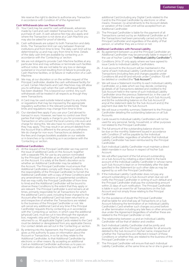We reserve the right to decline to authorise any Transaction in accordance with Condition 47 of the Agreement.

#### Cash Withdrawals (also see Transactions)

- Your Card may be used for cash withdrawals, advances made by Card and cash related Transactions, such as the purchase of cash. A cash advance fee may also apply and where the Transaction is not done at a Cash Machine you may also be asked for proof of identity.
- 16. Cash withdrawals are subject to both Transaction and daily limits. The Transaction limit can vary between financial institutions and from time to time. The daily cash limit will be determined by us and may vary from time to time. Details of the daily cash limit are available by contacting us in accordance with the 'Contacting us' section.
- 17. We are not obliged to provide Cash Machine facilities at any particular time and may withdraw or terminate such facilities without notice. We are not liable for any loss or damage sustained or incurred resulting from (i) failure to provide any Cash Machine facilities, or (ii) failure or malfunction of a Cash Machine.
- 18. We may, at our discretion or on the written request of the Principal Cardholder, disable the cash withdrawal facility for a Card. Certain Merchants and Cash Machines may still allow you to withdraw cash when the cash withdrawal facility has been disabled. This is beyond our control. Any such withdrawals will be treated in all respects as though they were Transactions.
- 19. A Card may be used outside Ireland subject to any limits or regulations that may be imposed by the appropriate regulatory authorities in the relevant jurisdiction(s). These limits and regulations may change from time to time.
- 20. Our standard fees apply if you use your Card abroad to transact in euro. However, we have no control over third parties that might apply a charge to you for processing the Transaction or who convert the local currency into euro and charge for doing this. We also have no control over the rates they may apply. This may result in an amount debited from the Account that is different to the amount you withdrew. We do charge for non-euro Transactions as detailed in the fees and charges booklets available on our website or in branches or by contacting us in accordance with the 'Contacting us' section.

#### Additional Cardholders

- 21. At the request of the Principal Cardholder we may permit the issue of additional Cards on the Account, together with a separate PIN, for use by any person nominated by the Principal Cardholder as an Additional Cardholder on the Account. It is solely at the Bank's discretion as to whether an Additional Cardholder may be added to the Account. The Principal Cardholder must ensure that Additional Cardholders comply with these Conditions. It is the responsibility of the Principal Cardholder to furnish the Additional Cardholder with a copy of these Conditions (and any amendments, extensions or supplemental conditions that we may notify the Principal Cardholder of from time to time) and the Additional Cardholder will be bound to observe these Conditions to the extent that they apply or are relevant. The Principal Cardholder is and remains at all times, primarily responsible for all Transactions for which the additional Card is used, including those charged to the Account after the additional Card has been returned to us and irrespective of whether the Transactions are related to the business of the Principal Cardholder or not. We will cancel any additional Card at any time if the Principal Cardholder requests this by contacting us in accordance with the 'Contacting us' section, in which case the additional (physical) Card, must be cut in two (through the signature box, magnetic strip and Chip) for security reasons, and returned to us. All applicable Digital Cards related to the Card must be deleted or deregistered from any applicable Device. Our contact details are set out in the 'Contacting us' section.
- 22. By entering into this Agreement, the Principal Cardholder gives us the authority to pass on information about the Account or Transactions, in so far as they relate to the Additional Cardholder, to that Additional Cardholder by electronic or other means. By accepting an additional Card an Additional Cardholder authorises us to pass on information about Transactions effected by use of the

additional Card (including any Digital Cards related to the Card) to the Principal Cardholder by electronic or other means. However, no amendments to the Account details or variation of the Credit Limit will be accepted from an Additional Cardholder.

23. The Principal Cardholder is liable for the payment of all Transactions carried out by an Additional Cardholder as if the Transactions had been personally carried out by the Principal Cardholder and regardless of the ability of that person, or whether they are a minor or not.

#### Additional Cardholders with Personal Liability

- 24. By agreement between us and the Principal Cardholder an Additional Cardholder may be personally liable in respect of the use of his/her Card (an "Individual Liability Cardholder").
- 25. Conditions 24 to 37 only apply where we have agreed to issue Cards to Individual Liability Cardholders.
- 26. A sub account to the Account will be maintained in the name of each Individual Liability Cardholder to which all Transactions (including fees and charges payable under Conditions 68 and 69 and refunds under Condition 70) will be debited or credited (the "Sub Account").
- 27. We will issue a Statement monthly to each Individual Liability Cardholder, on a date which we may decide, containing (a) details of all Transactions debited and credited to the Sub Account held in the name of such Individual Liability Cardholder since the previous Statement (or, in the case of the first Statement, since the opening of such Sub Account), and (b) the outstanding balance on the Sub Account (if any) at the statement date for the Sub Account and (c) the payment due date for the Sub Account.
- 28. We will issue a monthly summary Statement to the Principal Cardholder detailing the outstanding balances on all Sub **Accounts**
- 29. Cards issued to Individual Liability Cardholders will not be used for any personal, family, household, or other purposes not related to the Principal Cardholder.
- 30. The full amount of the outstanding balance shown to be due on the monthly Statement issued in accordance with Condition 27 will be payable by the Individual Liability Cardholder, regardless of whether that Individual Liability Cardholder has been reimbursed by the Principal Cardholder.
- 31. Each Individual Liability Cardholder must maintain a direct debit mandate in our favour in respect of his/her Sub Account.
- 32. We will effect payment of the full amount outstanding on a Sub Account by initiating a direct debit to the bank account of the Individual Liability Cardholder in whose name such Sub Account is kept on or immediately after the date specified in the Statement (or such other date as may be agreed by us with the Principal Cardholder).
- 33. If the Individual Liability Cardholder does not pay any amount outstanding on a Sub Account when due we will notify the Principal Cardholder in writing of such default and the Principal Cardholder shall pay the outstanding amount within 21 days of such notification. The Principal Cardholder is liable in such an event for all Transactions on the Sub Account and not simply those relating to the Principal Cardholder.
- 34. For the avoidance of doubt the Principal Cardholder shall be liable for and shall pay all Transactions on a Sub Account following the termination of an Individual Liability Cardholder's Card whether such charges occurred before or after termination including any late fees or other amounts due under the Agreement (regardless of whether these are related to the Principal Cardholder or not).
- 35. The relationship between us and an Individual Liability Cardholder will be that of debtor and creditor.
- 36. Each Individual Liability Cardholder shall be jointly and severally liable with the Principal Cardholder for all amounts debited to the Sub Account in his/her name, irrespective of whether the Transactions are effected in breach of these Conditions or whether they are related to the business of the Principal Cardholder or not.
- 37. The Principal Cardholder will ensure that each Individual Liability Cardholder, at the same time as he or she is given an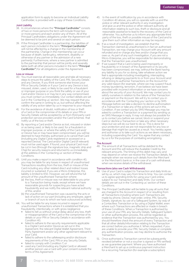application form to apply to become an Individual Liability Cardholder, is provided with a copy of these Conditions.

#### Joint Liability

- 38. In circumstances where the "Principal Cardholder" consists of two or more persons the term will include those two or more persons and each and/or any of them. All of the Principal Cardholders obligations under the Agreement will be deemed to be joint and several on each person.
- 39. If the Principal Cardholder is a partnership, the liabilities of each person included in the term "Principal Cardholder" will not be affected by a change in the membership of the partnership. Change in the membership can occur because of death, bankruptcy, retirement, disability or otherwise of any partner or the admission of a new partner(s). Furthermore, where a new partner is admitted to the partnership that person will be jointly and severally liable (with all other persons included in the term "Principal Cardholder") for all obligations under the Agreement.

#### Loss or misuse

- 40. You must exercise all reasonable care and take all necessary steps to ensure the safety of the Card, PIN, Security Details and any Devices. If you think someone else knows your PIN or Security Details or if your Card or any Device is lost, misused, stolen, used, or likely to be used for a fraudulent or improper purpose or you think the safety or use of your Card and/or Device is or may be in any way compromised, you must contact us immediately. Our contact details are set out in the `Contacting us' section. We may request that you confirm the same in writing to us, but without affecting the validity of any action taken by us in response to your request.
- 41. For the avoidance of doubt, notification of loss or theft of a Card or the compromise of its details or your PIN or Security Details will be accepted by us from third party card protection service providers and/or the Card Schemes that notify us of the loss or theft.
- 42. By reporting a Card and/or Device as lost, misused or stolen or as being used, or likely to be used, for a fraudulent or improper purpose, or where the safety of the Card and/ or Device has or may have been compromised, you will be deemed to have thereby authorised us to cancel that Card (including any Digital Cards registered or accessed on a reported Device). The Card and/or Digital Card (if relevant) must not be used again. If found, your physical Card must be cut in two (through the signature box, magnetic strip and Chip) for security reasons and returned to us immediately at the address in the 'Contacting us' section of these Conditions.
- 43. Until you make a report in accordance with condition 40, you may be liable for any losses in respect of unauthorised Transactions resulting from the loss, theft or misuse of the Card including any other related direct and indirect losses incurred or sustained. If you are a Micro-Enterprise, this liability is limited to €50. However, we will refund the full amount of the unauthorised Transaction where:
	- (a) the loss, theft or misuse was not detectable to you prior to a Transaction being made, except where we have reasonable grounds for suspecting you have acted fraudulently and we notify the relevant national authority of this; and/or
	- (b) the unauthorised Transaction was caused by the acts or lack of action on our part (including any employee, agent or branch of ours to which we have outsourced activities).
- 44. You will be liable for any losses incurred in respect of unauthorised Transactions where it is established that you fraudulently, intentionally, or with gross negligence:
	- failed to tell us without undue delay about any loss, theft or misappropriation of the Card or the compromise of its details or your PIN or Security Details in accordance with Condition 40;
	- failed to adhere to the security requirements applicable to a Digital Card and/or Device as set out in this Agreement, the relevant Digital Wallet Agreement, Third Party Agreement and/or any other agreement relevant to your Card;
	- failed to adhere to the safekeeping and/or disclosure requirements of the Card, PIN or any Security Details;
	- failed to comply with Condition 7; or
	- used any Card (including any Digital Card) or allowed another person use a Card with your consent outside the terms of this Agreement.
- 45. In the event of notification by you in accordance with Condition 40 above, you will co-operate with us and the police or other relevant authority in any investigation and give us and the police or other relevant authority all information relating to such loss, theft or disclosure and all reasonable assistance to lead to the recovery of the Card or otherwise. You authorise us to inform any appropriate third party of the loss, theft or possible misuse of the Card and to give them such other information as may be required.
- 46. If as a result of investigation, we establish that the Transaction claimed as unauthorised is in fact an authorised Transaction, we may charge your Account with any amount refunded and re-charge any fees and/or charge that you owe us. As part of any such investigation, if you are not a Micro-Enterprise, you will be responsible for demonstrating that the Transaction was unauthorised.
- 47. If we suspect that a Card is being used improperly or fraudulently or in breach of the Agreement or its security has been compromised, we may, without the Bank having any liability to you for so doing, take whatever action we feel is appropriate including investigating, intercepting, refusing or delaying payments to or from your Account and/ or declining to authorise Transactions on the Account for any valid reason (for example, where we may suspect fraud, money laundering, terrorism, if we believe we have been provided with incorrect information or we have concerns about the security of your Account). We may contact you to satisfy ourselves in relation to the nature of the Transaction or payment on the Account. We will try to contact you in accordance with the `Contacting you' section or by SMS Message before we take a decision to decline authorisation of a Transaction or take any of the actions set out in this Condition. If we contact you by SMS Message you may be asked to confirm a Transaction or a payment by sending us an SMS Message in reply. It may not always be possible for us to contact you before we cancel, block or suspend your Card or decline a Transaction or take any other necessary steps but we will do our best to do so. This is done for your protection and we are not responsible for any loss or damage that might be caused as a result. You hereby agree and authorise us to take such actions as we deem necessary, including suspending the Card. You agree that any contact by us is for the purposes of combating wrongdoing.

#### The Account

48. The amount of all Transactions will be debited to the Account and this will reduce the Available Credit by the relevant amounts. The timing of this debit may vary and may depend on when we receive the Transaction details, for example when we receive such details from the Merchant or the Merchant's bank or, in the case of a cash withdrawal, when we receive details of the withdrawal.

#### Transactions (also see Cash Withdrawals)

- 49. Use of your Card is subject to Transaction and daily limits as set by us, which may vary from time to time. You can contact us to agree spending limits for using your Card online, subject to our Transaction and daily limits. Our contact details are set out in the 'Contacting us' section of these Conditions.
- 50. The Principal Cardholder will be liable to pay all sums that are charged to the Account in respect of or resulting from all Transactions including where such Transactions are made by phone, Device, mail order, online, PIN, Security Details, signature, by use of a Safeguard System, by way of a Contactless Transaction or by using a Digital Wallet, even where such Transactions are effected or made in breach of these Conditions. When a Transaction is authorised by your use of your PIN, any Security Details, Safeguard System or other authentication process, this will be regarded as evidence that the Transaction was authorised by you. You should therefore check the amount of every Transaction and that all other details/information relating to the Transaction are correct before you authorise it. When requested, if you are unable to provide your PIN, Security Details or complete any authentication process, we may decline to authorise the Transaction.
- 51. Once authorised a Transaction cannot be subsequently revoked (whether or not a voucher is signed or PIN verified) as we guarantee payment. Where you have authorised a Merchant to set up a continuous payment instruction for a recurring Transaction (for example a subscription)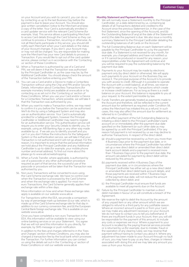on your Account and you wish to cancel it, you can do so by contacting us up to the last Business Day before the payment is due to leave your Account. You should also give written cancellation notice to the Merchant and keep a copy of the letter. Your Card is automatically enrolled in a card updater service with the relevant Card Scheme (for example, Visa). This service allows a participating Merchant to access Card details through the Card Scheme so they can continue to process a Transaction, recurring or otherwise. As not all Merchants participate in this service, you should still notify each Merchant when your Card details or the status of your Account changes. If you don't, your Account may or may not still be charged. You are responsible for making sure the Merchant has your new Card details to process a Transaction. If you would like to opt out of the card updater service, please contact us in accordance with the 'Contacting us' section of these Conditions.

- 52. When a Transaction is authorised by use of a Card and PIN, we will deem it that the Transaction was authorised by the Principal Cardholder or, as the case may be, by the Additional Cardholder. You should always check the amount of the Transaction before entering your PIN.
- 53. You can use a Card and/or a Device to make a Contactless Transaction without using the Chip and PIN and/or Security Details. Information about Contactless Transactions (for example monetary limits) are available at www.aib.ie or by contacting us as set out in the `Contacting us' section of these Conditions. When you use your Card and/or a Device for a Contactless Transaction, where possible, we will take it that the Transaction was authorised by you.
- 54. When you want to make a Transaction online, we may need to confirm it is you before the Transaction can be authorised. We'll do this by using a Safeguard System and may also use an authentication service. Your Card is automatically enrolled for a Safeguard System, however the Principal Cardholder or Additional Cardholder may need to register for an authentication service. This authentication service will require you to enter your Security Details to identify you, for example, using an AIB Banking App or any other way made available by us. If we ask you to identify yourself and you can't or you don't follow the instructions for the Safeguard System or the authentication service, we will take it that your Transaction is not authorised and it will not go ahead. For this reason, it is important to ensure that the personal information we hold about the Principal Cardholder and any Additional Cardholder is up-to-date (for example, your mobile phone number and email address). To find out more about this please go to www.aib.ie/webshopping
- 55. When a Funds Transfer, where applicable, is authorised by use of a passcode or any other authorisation procedure required as part of that service, the successful use of the passcode or procedure will be taken that the Transaction was authorised by you.
- 56. Non-euro Transactions will be converted to euro using the Card Scheme exchange rate. We have no control over when the Transaction is processed by the Card Scheme and when the exchange rate is applied. For most noneuro Transactions, the Card Scheme generally applies their exchange rate within a few days.

 More information on how and when these exchange rates apply is available on our website www.aib.ie

 For Transactions within the EEA, we provide a comparison by way of percentage mark-up between (i) our rate, which is made up of the Card Scheme exchange rate for that day in addition to our currency conversion fee, and (ii) the European Central Bank foreign exchange rate. This is available on our website www.aib.ie.

 Once you have completed a non-euro Transaction in the EEA, this information will be available to view using our online banking services or on your Statement. You agree that we will not send this information to you directly, for example, by SMS message or push notification. In addition to the fees and charges referred to in the 'Fees and Charges' section of these Conditions, you may also be charged a transaction fee by the local bank which processes the Transaction. For further information you can contact us using the details set out in the `Contacting us' section of these Conditions or visit our website www.aib.ie

#### Monthly Statement and Payment Arrangements

- We will normally issue a Statement monthly to the Principal Cardholder, on a date determined by us, containing (a) details of all Transactions debited and credited to the Account since the previous Statement (or, in the case of the first Statement, since the opening of the Account), and (b) the Outstanding Balance (if any) at the date of the Statement and (c) the date the payment is due. We also issue a monthly summary Statement to the Principal Cardholder detailing the outstanding balances of all Cards on the Account.
- 58. The full Outstanding Balance due on each Statement will be payable by the Principal Cardholder to us by the payment due date. If a Statement is not received for any month, for example, you changed address and have not notified us or if it cannot be produced or issued for any reason, your responsibilities under the Agreement will continue and you will be required to pay the outstanding balance by the payment due date.
- 59. Payments to your Account may be made by electronic payment only (by direct debit or otherwise). We will apply such payments to your Account on the Business Day we receive it. The principal purpose of the Account is to provide you with access to credit. Although it is possible to operate the Account with a credit balance, at all times, we reserve the right to reject or return any Transactions which create or increase credit balances. For as long as there is a credit balance on your Account, this balance is repayable to you at your request, to the extent permissible by law.
- 60. Funds Transfers are generally treated as payments made to the Account and therefore, will be reflected in the current amount due for settlement as required under Condition 58, unless the Merchant has initiated this as a refund. In such cases, this may also affect the amount due for settlement as referred to in Condition 61.
- 61. We will effect payment of the full Outstanding Balance by initiating a direct debit to the Principal Cardholder's bank account on or immediately after the payment due date specified on the Statement (or such other date as may be agreed by us with the Principal Cardholder). If for any reason full payment is not received by us we may decline to authorise Transactions. In respect of the direct debit:
	- (a) should a payment be received by us from you more than 4 Business Days prior to the payment due date, or in circumstances where the Principal Cardholder has either set up a new direct debit or amended their direct debit bank account details and a payment is received more than 7 Business Days prior to the payment due date, the amount calculated for payment by direct debit will be reduced by this amount;
	- (b) payments received within 4 Business Days of the payment due date, or in circumstances where the Principal Cardholder has either set up a new direct debit or amended their direct debit bank account details, and those payments are received within 7 Business Days of the payment due date, will not reduce the amount collected by direct debit; and
	- (c) the Principal Cardholder must ensure that funds are available to meet all payments due on the Account.
- 62. Failure by the Principal Cardholder to maintain a direct debit mandate in favour of us will constitute a breach of the Agreement.
- 63. We reserve the right to debit the Account by the amount of any unpaid item or any other amount which we are obliged to refund to a third party for any justifiable reason. Where an incorrect amount is paid to or from your Card, we may make any adjustment necessary on your Account. We do not have to contact you to tell you beforehand. If there are insufficient funds in your Account, then you will still be responsible for the payment of this amount, to include any costs or expenses we incur. Where a payment to your Account is recalled by the paying financial services provider or is returned by us (for example, due to mistake, fraud or the operation of any clearing rules), we may reverse that payment without having to contact you about it. Where any adjustment has been made to your Account through no fault of ours, you may have to pay us any fees, charges or interest associated with doing this and we may take any amount you owe us from your Account.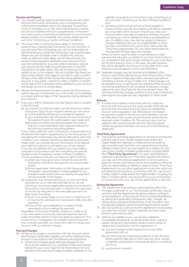#### Queries and Disputes

- 64. You should carefully examine all Statements and any other Account information received by you or accessed by you online and immediately report any disputed Transactions, errors or omissions to us. We recommend that you review your Account details online on a regular basis. In the event you have a query concerning a Transaction on your Account please contact us immediately. Our contact details are set out in the 'Contacting us' section of these Conditions.
- 65. You must notify us without undue delay on becoming aware of any unauthorised Transaction on your Account. If you are not a Micro-Enterprise, you will be responsible for demonstrating to us that the Transaction was unauthorised. Where you are not liable under Condition 44, and you notify us without undue delay we will refund to you the amount of any payment debited to your Account which was not authorised by you and, where necessary, restore your Account to the state it would have been in had the Transaction not taken place. We will not have any further liability to you in this respect. We will consider that there has been undue delay in this regard if you fail to notify us within 60 days of the date of the Transaction being debited to your Account. In any event, a failure to notify us within 13 months of the date of the Transaction being debited to your Account will always amount to undue delay.
- 66. Where the Payee's bank is located outside the EEA and you wish to dispute a Transaction you must notify us immediately or at least within 60 days of the Transaction being debited to your Account.
- 67. If you are a Micro-Enterprise and the Payee's bank is located in the EEA and:
	- (a) you contact us within 8 weeks, we will refund you within 10 Business Days of your request, where you can prove to us that both the following circumstances applied:
		- (i) your authorisation did not specify the exact amount of the payment when the authorisation was made; and
		- (ii) the amount of the payment exceeded the amount that you could reasonably have expected taking into account your previous spending pattern.

 If you make a claim for such a refund you must provide to us all relevant information requested by us. For the purpose of calculating the 10 Business Day period referred to within this Condition, your request will only be deemed to have been made when you provide all such information. If we dispute your right to a refund we will advise you of our reasons. If you are not satisfied with our reasons you may make a complaint in accordance with the complaints procedures detailed in the 'Complaints' section of these Conditions. For the avoidance of doubt, you have no right of refund:

- (i) where you have given your consent to execute the Transaction directly to the payment service provider; and/or
- (ii) where applicable, information on the future payment Transaction was provided or made available to you at least 4 weeks before the due date by the payment service provider or the Payee.
- (b) a payment was not executed by us, or was incorrectly executed by us, or was executed late by us, we will refund you and where applicable restore your Account to the position it would have been in had the non-executed or incorrectly executed or late executed payment not taken place providing:
	- (i) there is no undue delay on your part in notifying us of an incorrectly executed, non-executed or late executed payment; or
	- (ii) none of the events detailed in Condition 98 (i)(i) prevented us from making the payment.

 Regardless of the issue of liability, where you notify us of a non-executed or incorrectly executed payment we will make immediate efforts to trace the defective payment. If as a result of our investigation we establish that the payment was correctly executed, we reserve the right to charge your Account with our relevant charges.

#### Fees and Charges

- 68. All fees and charges in connection with the Account will be the Principal Cardholder's liability and will be debited to the Account in accordance with the following arrangements:
	- all fees and charges applicable and payable on the Account are outlined in our schedule of fees and charges relevant to your Card Type for the time being in force as detailed in the fees and charges booklets available on our

website www.aib.ie or in branches or by contacting us as set out in the 'Contacting us' section of these Conditions; and

• all stamp duties and government levies payable in respect of the Card are your liability and will be collected by us by debit of the Account. Should you close your Account before the date of collection all these amounts owing by you will be debited at closure and payable by you. In addition, you may also be subject to fees and charges relating to the use of a Digital Wallet or other services connected to the use of your Card under the Third Party Agreements. You are solely responsible for the payment of these fees and charges.

 Where a Card is used to obtain a cash advance, a cash advance fee will apply as notified to you from time to time in our schedule of fees and charges relevant to your Card Type for the time being in force. In all cases, the cash advance fee will be debited to the Account on the date of the cash advance and will appear in your next Statement.

69. Separate charges may be incurred and debited to the Account and will be advised to you from time to time. These can be in respect of late payments, returned payments or operating in excess of your Credit Limit. These charges will be advised to you in writing on the opening of the Account and will be published in our schedule of fees and charges relevant to your Card Type for the time being in force. We will ensure that the charges conform to any scale or amounts that may be set under any law, regulation or other order.

#### Refunds

70. If a Merchant initiates a refund we will only credit the Account with the amount due upon receipt of the refund amount from the Merchant and, unless so credited the Account will be payable in full. Refunds are not treated as payments made to the Account and therefore will not be reflected in the current amount due for settlement as required under Condition 58. The amount due must be settled in the normal manner and any refund received will be recognised and taken into account in the following Statement.

#### Third Party Agreements

71. Third parties providing applications or services in connection with the use of your Card(s), Digital Cards and/or the Digital Wallet (for example, a mobile phone provider or app provider) may have their own agreements (including relating to fees) which you are subject to in relation to your use of your Card(s), a Digital Card(s) and/or a Digital Wallet (the "Third Party Agreements"). It is your responsibility to read and understand such Third Party Agreements before you sign up to the relevant application or service and you agree to comply with all such terms and conditions. We shall have no responsibility or liability in respect of any Third Party Agreements nor any other applications or services which are provided by third parties in connection with the use of your Card(s), Digital Card(s) and/or the Digital Wallet, including any fees or charges which may be levied to you by third parties in connection with your use of their applications or services.

#### Ending the Agreement

- 72. The Agreement shall continue until ended by either the Principal Cardholder or us. The Principal Cardholder may at any time end the Agreement by giving notice in writing to us and paying to us the amount of any Outstanding Balance as well as all outstanding Transactions, fees, charges, all stamp duties and government levies, if not included in the Outstanding Balance at the time the Agreement is ended.
- 73. We can cancel any Card or end this Agreement on providing you with two months' written notice (or a shorter notice period if permitted by law).
- 74. Without any liability to you, we are also entitled to immediately temporarily or permanently block, suspend and/or cancel any Card and/or refuse to issue renew or replace any Card and/or end this Agreement, if:
	- (a) you are in breach of this Agreement or any other agreement with us;
	- (b) you fail to pay the outstanding balance on the Account when payment falls due or fail to pay any other monies or liabilities whatsoever or howsoever due or incurred by you to us;
	- (c) you become insolvent;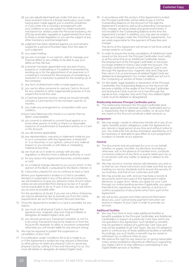- (d) you are adjudicated bankrupt under Irish law or we have received notice of a foreign bankruptcy court order having been made against you in another jurisdiction or if you enter into a voluntary arrangement with your creditors or you are subject to a debt resolution mechanism (or similar) under the Personal Insolvency Act 2012 (as amended, repealed or supplemented from time to time) or similar legislation or you are the subject of any other insolvency event/arrangement;
- (e) judgment has been obtained against you and remains unpaid for a period of fourteen days from the date of such judgment;
- (f) you cease trading;
- (g) you are no longer, in our opinion, able to manage your financial affairs or are unlikely to be able to pay your debts as they fall due;
- (h) a receiver has been appointed over any part of your property or undertaking or if a petition is presented for winding up or for the appointment of an examiner or if a meeting is convened for the purpose of considering a resolution or a resolution is passed for the winding-up of the company;
- (i) any form of attachment order is made against you;
- (j) you use (or allow someone to use) any Card or Account for any unlawful or other inappropriate purpose or if we suspect this to be the case;
- (k) a Card has become inactive, noting we would normally consider a Card inactive if it has not been used for 12 months;
- (l) you make any arrangement or composition with your creditors;
- (m) you have failed security checks in a manner that we deem unacceptable;
- (n) you commit or attempt to commit fraud against us or some other person or entity or there is a reasonable suspicion of unauthorised or fraudulent activity on a Card or the Account;
- (o) you die (where applicable);
- (p) any representation, warranty or statement made by you to us in connection with this Agreement, is breached or is or becomes, in our opinion, untrue in any material respect or you provide us with false or misleading material at any time;
- (q) we must do so in order to comply with any law, regulation or direction from a relevant authority or court;
- (r) for any reason this Agreement becomes unenforceable or void;
- (s) on a material change relevant to you occurs which, in the opinion of the Bank, is prejudicial to the Bank's interest; or

(t) it becomes unlawful for you to continue to have a Card. Where your Agreement is ended or a Card is cancelled, blocked or suspended in any of the above circumstances, we will endeavour to give you advance notice of such action unless we are prevented from doing so by law or it would not be practicable to do so. If such is the case, we will inform you as soon as possible after.

 For the avoidance of doubt, if you are not a Micro-Enterprise, we may be allowed by law to exclude you from the notice requirements set out in the Payment Services Directive.

- 75. Once the Agreement is ended or a Card is cancelled, for any reason:
	- a) you must cut all physical Cards in two (through the signature box, magnetic strip and chip) and delete or deregister all related Digital Cards; and
	- b) you should cancel any Transaction (whether or not it is a recurring Transaction) due to be made to or from the Account (for example, to utility or insurance companies) otherwise you will remain liable for any amount owing.
- 76. We may be required to publish the suspension or cancellation of any Card.
- 77. If a notification under Conditions 40 to 42 is made to us, or if the Agreement is ended we may request a Merchant or other person to retain any physical Card or cancel any physical Card by cutting it in two and returning it to us. You must still delete or deregister all related Digital Cards.

78. In accordance with this section, if this Agreement is ended the Principal Cardholder will be liable to pay in full the Outstanding Balance on the Account on the date the Agreement is ended as well as all outstanding Transactions, fees, charges, all stamp duties and government levies, if not included in the Outstanding Balance at the time the Agreement is ended. In addition, you may also be subject to fees and charges under the Third Party Agreements. You are solely responsible for the payment of these fees and charges.

 The terms of this Agreement will remain in full force until all money owed to us is paid.

- 79. In order to ensure the timely cancellation of Additional Cards issued on the Account, the Principal Cardholder must notify us at the same time as an Additional Cardholder leaves the employment of the Principal Cardholder or becomes no longer entitled to hold a Card under the Account. The Principal Cardholder should cut the physical Card in two (through the signature box, magnetic strip and Chip) and then return it to us and ensure all related Digital Cards are deleted and deregistered. Our contact details are set out in the 'Contacting us' section of these Conditions.
- 80. On the death, legal disability or dissolution of the Principal Cardholder, the Outstanding Balance on the Account will become a liability of the estate of the Principal Cardholder and all physical Cards must be cut in two (through the signature box, magnetic strip and Chip). Any related Digital Cards must be deleted or deregistered.

#### Relationship between Principal Cardholder and us

81. The relationship between the Principal Cardholder (and where applicable the Individual Liability Cardholder) and us is, respectively, that of debtor and creditor, i.e. all sums that are owed on the Account constitute a debt owing to us.

#### Assignment

82. We may assign, novate or otherwise transfer all or any of our rights, benefits and/or obligations under the Agreement to any natural or legal person at any time and without notice to you. You shall enter into all documentation specified by us to be necessary or desirable to give effect to such assignment, novation or transfer at our expense.

#### **General**

- 83. The documents and records kept by us or on our behalf, whether on paper, microfilm, by electronic recording or otherwise, will, in the absence of manifest error, constitute conclusive evidence of any facts or events relied upon by us in connection with any matter or dealing in relation to the Account.
- 84. We may record or monitor phone calls between you and us so that we can check instructions and make sure that we are meeting our service standards and to ensure the security of our business, and that of our customers and staff.
- 85. We may provide you with, and we may keep a record of, documents which form part of this Agreement in either electronic or paper form. When you apply for your Card through our online banking services if applicable, you agree that electronic signatures may be used by us and you to confirm acceptance of documents which form part of this Agreement.
- 86. We will access, process and retain personal information about you, your Card and any payment instruction we receive in respect of your Card, in order to provide our services.

#### Additional Facilities

- We may from time to time make additional facilities or benefits available to the Principal Cardholder and Additional Cardholders in respect of a particular Card Type which are not specified in the Agreement. Such facilities or benefits may be granted in respect of a particular Card Type and may not be available to all Card Types. We are not obliged to grant or continue any of these additional facilities or benefits. Accordingly, any such facility or benefit may be varied or withdrawn by us without notice to you.
- 88. We reserve the right for any reason (or on giving reasonable notice where possible) to discontinue offering or supporting any Digital Card or to stop offering or participating in any Digital Wallet services or facilities.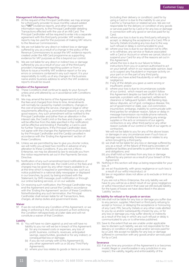#### Management Information Reporting

- 89. At the request of the Principal Cardholder, we may arrange for a third party provider to issue monthly valued-added tax ("VAT") evidence reports, and other management information reports, to the Principal Cardholder detailing Transactions effected with the use of an AIB Card. The Principal Cardholder will be required to enter into a separate agreement with this third party provider. VAT evidence reports may be used for the purposes of making VAT returns to the Revenue Commissioners.
- 90. We are not liable for any direct or indirect loss or damage suffered by you as a result of a change in the policy of the Revenue Commissioners to accept the VAT evidence reports created under the AIB Card programme as supporting evidence for VAT purposes as this is beyond our control.
- 91. We are not liable for any direct or indirect loss or damage suffered by you as a result of your use of the third party provider's management reporting system or from a failure to issue a monthly VAT evidence report or for any errors or omissions contained in any such report. It is your responsibility to notify us of any changes in the business name and/or business address to which the VAT evidence reports should be issued.

#### Variation of the Agreement

- 92. These Conditions shall continue to apply to your Account unless and until altered by us in accordance with Conditions 93 to 96.
- 93. We may amend the terms of the Agreement (including the fees and charges) from time to time. Amendments will normally be caused by market conditions, changes in the cost of providing the service, changes in legal or other requirements affecting us, promotional reasons or any other good reasons. Any such amendment will be notified to the Principal Cardholder and (other than an alteration in the interest rate, the Credit Limit or the fees and charges – which will be effective from the date specified in the notification) will be effective and binding if, thereafter, a Card is used for further Transactions. If the Principal Cardholder does not agree with the changes the Agreement must be ended by the Principal Cardholder and the Card(s) cancelled in accordance with the 'Ending the Agreement' section of these Conditions.
- 94. Unless we are permitted by law to give you shorter notice, we will notify you at least two months in advance of any alteration to these Conditions. If you are not a Micro-Enterprise, we may be allowed by law to exclude you from the notice requirements set out in the Payments Services Directive.
- 95. Notification of any such amendment (and notifications of alterations in the interest rate, the Credit Limit or the fees and charges) may be given by any other means available to us at the time which is required or permitted by law, such as a notice published in a national daily newspaper or displayed in our branches, by post, by being enclosed with the Statement, by SMS message, push notification or through our online banking services, or on our website.
- 96. On receiving such notification, the Principal Cardholder may end the Agreement and cancel the Card(s) in accordance with the 'Ending the Agreement' section of these Conditions. Notwithstanding any such termination, the Principal Cardholder shall remain liable for all Transactions, fees, charges, all stamp duties and government levies.

#### **Waiver**

97. If we do not enforce any Condition of this Agreement, or we delay in enforcing it, this will not prevent us from enforcing the Condition retrospectively at a later date and will not constitute a waiver of that Condition.

## Liability<br>98. (i)

- You will have no claim against us and we will have no liability to you nor will we be in breach of this Agreement:
	- (a) for any increased costs or expenses, any loss of profit, business, contracts, revenues, anticipated savings, opportunities, goodwill or for any indirect, or consequential loss or damage;
	- (b) if you do not comply with (i) this Agreement (ii), any other agreement with us or (iii) any Third Party Agreements;
	- (c) where your loss relates to goods or items or services

(including their delivery or condition) paid for by using a Card or is due to the inability to use your Card for a Transaction or related service. We are not responsible for the delivery or condition of any goods or services paid for by Card or for any loss or damage in connection with any good or services paid for by Card;

- (d) where your loss is due to any third party refusing to accept, or delaying the acceptance of a Card, PIN or Security Details (including any loss due to the way such refusal or delay is communicated to you);
- where your loss is due to our decision not to offer, or to withdraw, any service or feature associated with a Card or Account or where we cancel, block or suspend your Card for any of the reasons set out in this Agreement;
- where the loss is due to our failure to follow instructions from you or a person authorised to act on your behalf, which in our reasonable opinion, lead us to suspect any fraudulent or improper activity on your part or on the part of any third party;
- (g) where you have acted fraudulently or with gross negligence;
- (h) if any of the details you gave us were wrong or insufficient; and/or
- where your loss is due to circumstances outside of our control, which meant we couldn't follow this Agreement despite our best effort to do so for example, a problem with a payment, settlement, clearance or Safeguard System, AIB Banking App, labour disputes, act of god, contagious disease, fire, act of government or state, war, civil commotion, insurrection, embargo, inability to communicate with third parties for whatever reason, failure or delay in message transmission via mobile phone network, prevention or hindrance in obtaining any energy supplies or the acts or omissions of our agents. contractors or any other third party) or any other reason outside of our control or that of our agents or contractors.

 We will not be liable to you for any of the above losses or damages in any circumstances even if such loss or damage was reasonably foreseeable or relates to any action brought by a third party;

- (ii) we shall not be liable for any loss or damage suffered by you as a result of the failure of third party providers of additional facilities and benefits to perform their duties and obligations; and
- (iii) you shall hold us harmless from any loss or damage suffered by any person as a result of your breach of this Agreement.
- 99. Nothing in this section will stop us being responsible for your  $lnc<sub>s</sub>$  if:
	- (a) we act fraudulently, with gross negligence or such loss is a result of our wilful misconduct; or
	- (b) law or regulation does not allow us to exclude or limit our liability.

 If you are not a Micro-Enterprise, the only liability we will have to you will be as a direct result of our gross negligence or wilful misconduct and in that case we still exclude liability for the types of losses we have described in the above `Liability' section.

#### No liability for refusal or for goods or services

- 100. We shall not be liable for any loss or damage you suffer due to any person, supplier, Merchant or third party refusing to accept or honour, or delaying the acceptance or honouring of any Card, PIN, Security Details or any other code allotted to you by us and/or subsequently chosen by you, or for any loss or damage you may suffer directly or indirectly as a result of the way in which any such refusal or delay is communicated to you or is otherwise published.
- 101. Save to the extent that we are unable under applicable law to disclaim such liability, we are not responsible for the delivery or condition of any goods and/or services paid for by a Card. We accept no liability for any loss or damage suffered in connection with any goods and/or services paid for by a Card.

#### **Severance**

102. If at any time any provision of the Agreement is or becomes invalid, illegal or unenforceable in any jurisdiction in any respect, the validity, legality and enforceability of the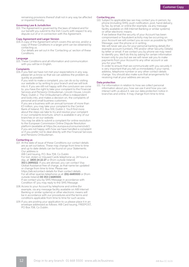remaining provisions thereof shall not in any way be affected or impaired thereby.

#### Governing Law & Jurisdiction

103. The Agreement is governed by the laws of Ireland and for our benefit you submit to the Irish Courts with respect to any dispute out of or in connection with the Agreement.

#### Copy Agreement and Larger Version

104. A copy of the Agreement which covers this service, and/or a copy of these Conditions in a larger print can be obtained by contacting us.

 Our details are set out in the 'Contacting us' section of these Conditions.

#### Language

105. These Conditions and all information and communication with you will be in English.

#### **Complaints**

106. If you feel we have not met your expectations in any way, please let us know so that we can address the problem as quickly as possible.

 If you wish to make a complaint, you can do so by visiting our website or by writing to your branch and we will look into it. If you are still not happy with the conclusion we come to, you have the right to take your complaint to the Financial Services and Pensions Ombudsman, Lincoln House, Lincoln Place, Dublin 2. The Ombudsman's office is independent and looks into, and makes a decision on, the complaints of personal and small business customers.

 If you are a business with an annual turnover of more than €3 million, you may take your complaint to the Central Bank of Ireland, P.O. Box 559, Dublin 1. You'll find more about the steps we take to try and resolve your complaint in our complaints brochure, which is available in any of our branches or on our website.

 You may be able to submit a complaint for online resolution to the European Commission Online Dispute Resolution platform (available at https://ec.europa.eu/consumers/odr/) if you are not happy with how we have handled a complaint or if you prefer not to deal directly with the Financial Services and Pensions Ombudsman.

#### Contacting us

107. At the date of issue of these Conditions our contact details are as set out below. These may change from time to time and up to date details can be found on your Statements. Our address is:

AIB Card Issuing, P.O. Box 708, Co Dublin For lost, stolen or misused Cards telephone us, 24 hours a day, at: 1800 24 22 27 or (from outside Ireland) 353 1 2695022. If you are abroad, you can contact Visa Global Assistance free of charge, as that name be updated or change from time to time. Please see https://aib.ie/contact-details for their contact details. For all other queries telephone us at: (01)-6685500 or (from outside Ireland) 00 353 1 6685500. If we contact you by SMS Message in accordance with Condition 47 you may reply to the SMS Message.

- 108. Access to your Account by telephone and online (for example, via any message facility available on AIB Internet Banking or similar systems) or other electronic means will be in accordance with our procedures and the terms and conditions applicable from time to time for such access.
- 109. If you are posting your application to us please place it in an envelope addressed as follows: AIB Card Issuing, FREEPOST, PO Box 708, Co Dublin.

#### Contacting you

110. Subject to applicable law we may contact you in person, by phone (including SMS), push notification, post, hand delivery, by fax, by email, or online (for example, via any message facility available on AIB Internet Banking or similar systems) or other electronic means.

 If we believe that the security of your Account has been compromised or fraudulent activity may be occurring on your Account we will contact you as soon as possible by SMS Message, over the phone or in writing.

We will never ask you for your personal banking details (for example account numbers, PIN and/or other Security Details) by letter or email. If we contact you by phone we may need to identify you. We'll do this by asking for certain information known only to you but we we will never ask you to make payments from your Account to any other account or ask you for your PIN.

 In order to ensure that we communicate with you securely it is very important that you tell us immediately if your name, address, telephone number or any other contact details change. You should also make sure that arrangements for receiving mail at your address are secure.

#### Data protection

111. For information in relation to how we collect personal information about you, how we use it and how you can interact with us about it, see our data protection notice in branches and online. It may change from time to time.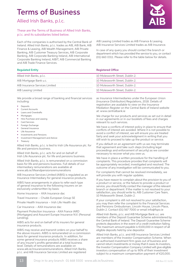## Terms of Business

Allied Irish Banks, p.l.c.

These are the Terms of Business of Allied Irish Banks, p.l.c. and its subsidiaries listed below.

Each of the companies is authorised by the Central Bank of Ireland. Allied Irish Banks, p.l.c. trades as AIB, AIB Bank, AIB Finance & Leasing, AIB Wealth Management, AIB Private Banking, AIB Customer Treasury Services, AIB Corporate Banking, AIB Corporate Banking Ireland, AIB International Corporate Banking Ireland, AIBIT, AIB Commercial Banking and AIB Trade Finance Services.

| Allied Irish Banks, p.l.c.     | 10 Molesworth Street, Dublin 2. |
|--------------------------------|---------------------------------|
| AIB Mortgage Bank u.c.         | 10 Molesworth Street, Dublin 2. |
| AIB Insurance Services Limited | 10 Molesworth Street, Dublin 2. |
| AIB Leasing Limited            | 10 Molesworth Street, Dublin 2. |

We provide a broad range of banking and financial services including:

- **Deposits**
- Current Accounts
- Loans and Overdrafts
- **Mortgages**
- Hire-Purchase and Leasing
- **Card Services**
- Foreign Exchange
- General Insurance
- Life Assurance • Investments and Pensions
- Investment Management and Advice
- **Treasury**

Allied Irish Banks, p.l.c. is tied to Irish Life Assurance plc. for life and pensions business.

Allied Irish Banks, p.l.c. acts for and on behalf of Irish Life Assurance plc. for life and pensions business.

Allied Irish Banks, p.l.c. is remunerated on a commission basis for life and pensions business. Full details of our intermediary remunerations are available at www.aib.ie/lifeandpensionsremunerations

AIB Insurance Services Limited (AIBIS) is regulated as an Insurance Intermediary for general insurance products.

AIBIS have arrangements in place to refer each type of general insurance to the following insurers on an exclusively underwritten by basis:

Home Insurance – AXA Insurance dac

Travel Insurance – Chubb European Group SE

Private Health Insurance – Irish Life Health dac

Car Insurance – AXA Insurance dac

Payment Protection Insurance - AXA France IARD (Mortgages) and Assurant Europe Insurance N.V. (Personal Lending).

AIBIS acts for and on behalf of its insurers for general insurance products.

AIBIS may receive and transmit orders on your behalf to the above insurers. AIBIS is remunerated on a commission basis for general insurance products. In addition, for some general insurance products AIBIS receives a share of any insurer's profits generated at a total business level. Details of remunerations are available on www.aib.ie/insuranceremunerations. Allied Irish Banks, p.l.c. and AIB Insurance Services Limited are registered



AIB Leasing Limited trades as AIB Finance & Leasing. AIB Insurance Services Limited trades as AIB Insurance.

In case of any query you should contact the branch or department which has provided the service to you, or contact (01) 660 0311. Please refer to the table below for details.

#### Regulated Entity **Registered Office** Registered Office

| 10 Molesworth Street, Dublin 2. |
|---------------------------------|
| 10 Molesworth Street, Dublin 2. |
| 10 Molesworth Street, Dublin 2. |
| 10 Molesworth Street. Dublin 2. |

as Insurance Intermediaries under the European Union (Insurance Distribution) Regulations, 2018. Details of registration are available to view on the Insurance Mediation Register on the Central Bank of Ireland website at: www.centralbank.ie

We charge for our products and services as set out in detail in our agreements or in our booklets of fees and charges relevant to such services.

We have a conflicts of interest policy in place to ensure that conflicts of interest are avoided. Where it is not possible to avoid a conflict of interest, we will ensure you are treated fairly and seek your acknowledgment in writing that you still wish to proceed to take up the product or service.

If you default on an agreement with us we may terminate that agreement and take such steps (including legal proceedings and enforcement of security) as we consider necessary to recover what you owe us.

We have in place a written procedure for the handling of complaints. This procedure provides that complaints will be appropriately recorded, investigated and resolved. The outcome of any investigation will be communicated to you.

For complaints that cannot be resolved immediately, we will provide you with regular updates.

If you have reason to complain about the provision to you of a product or service, or the failure to provide a product or service, you should firstly contact the manager of the relevant branch or department. If the matter is not resolved to your satisfaction, you should write to; AIB Customer Care Team, 10 Molesworth Street, Dublin 2.

If your complaint is still not resolved to your satisfaction, you may then refer the complaint to the Financial Services and Pensions Ombudsman, Lincoln House, Lincoln Place, Dublin 2. Contact (01) 567 7000 or email info@fspo.ie

Allied Irish Banks, p.l.c. and AIB Mortgage Bank u.c. are members of the Deposit Guarantee Scheme administered by the Central Bank of Ireland. The Deposit Guarantee Scheme protects depositors in the event of a credit institution failing. The maximum amount payable is €100,000 in respect of all eligible deposits held by one depositor.

Allied Irish Banks, p.l.c. and AIB Insurance Services Limited are members of the Investor Compensation Scheme. When an authorised investment firm goes out of business and cannot return investments or money that it owes its investors, the Investor Compensation Company Limited will give eligible investors compensation of up to 90% of their investment subject to a maximum compensation payment of €20,000.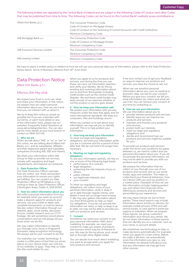The following entities are regulated by the Central Bank of Ireland and are subject to the following Codes of Conduct and other Codes that may be published from time to time. The following Codes can be found on the Central Bank's website www.centralbank.ie:

| Allied Irish Banks, p.l.c.     | The Consumer Protection Code<br>Code of Conduct on Mortgage Arrears<br>Code of Conduct on the Switching of Current Accounts with Credit Institutions<br>Minimum Competency Code |
|--------------------------------|---------------------------------------------------------------------------------------------------------------------------------------------------------------------------------|
| AIB Mortgage Bank u.c.         | The Consumer Protection Code<br>Code of Conduct on Mortgage Arrears<br>Minimum Competency Code                                                                                  |
| AIB Insurance Services Limited | The Consumer Protection Code<br>Minimum Competency Code                                                                                                                         |
| AIB Leasing Limited            | Minimum Competency Code                                                                                                                                                         |

We have in place a written policy in relation to how we will use your personal data/use of information, please refer to the Data Protection Notice below. Terms of Business effective from 16<sup>th</sup> June 2020.

### Data Protection Notice

Allied Irish Banks, p.l.c.

#### Effective 25th May 2018

We respect your trust in us to use, store and share your information. In this notice, we explain how we collect personal information about you, how we use it and how you can interact with us about it.

We try to keep this notice as simple as possible but if you are unfamiliar with our terms, or want more detail on any of the information here, please see our website's Frequently Asked Questions at www.aib.ie/dataprotection. You can also ask for more details at your local branch or contact us 0818 303 032.

#### 1. Who we are

When we talk about "AIB", or "us" or "we" in this notice, we are talking about Allied Irish Banks, p.l.c. and its subsidiaries, affiliates and their respective parent and subsidiary companies (including AIB, EBS and Haven).

We share your information within AIB Group to help us provide our services, comply with regulatory and legal requirements, and improve our products.

#### 2. Data Protection Officer

Our Data Protection Officer oversees how we collect, use, share and protect your information to ensure your rights are fulfilled. You can contact our Data Protection Officer at DPO@aib.ie or by writing to them at: Data Protection Officer, 2 Burlington Road, Dublin 4, D04 WV00.

#### 3. How we collect information about you

We collect personal information from you, for example when you open an account; make a deposit; apply for products and services; use your credit or debit card; complete transactions; or look for advice. We also collect information through our website, apps, social media, discussion forums, market research and our CCTV footage. We will sometimes record phone conversations and we will always let you know when we do this.

We may collect information to identify you through voice, facial or fingerprint (biometric data) recognition technology. We always ask for your consent to do this.

Our websites use 'cookie' technology. A cookie is a little piece of text that our server places on your device when you visit any of our websites or apps. They help us make the sites work better for you.

When you apply to us for products and services, and during the time you use these, we carry out information searches and verify your identity. We do this by sending and receiving information about you to and from third parties including credit bodies such as the Central Credit Register. We and these credit bodies may keep records of our searches whether or not the product or service goes ahead.

#### 4. How we keep your information safe

We protect your information with security measures under the laws that apply and we meet international standards. We keep our computers, files and buildings secure.

When you contact us to ask about your information, we may ask you to identify yourself. This is to help protect your information.

#### 5. How long we keep your information

To meet our legal and regulatory obligations, we hold your information while you are a customer and for a period of time after that. We do not hold it for longer than necessary.

#### 6. Meeting our legal and regulatory obligations

To use your information lawfully, we rely on one or more of the following legal bases: • performance of a contract;

- legal obligation;
- protecting the vital interests of you or others;
- public interest;
- pullistication interests; and
- your consent.

To meet our regulatory and legal obligations, we collect some of your personal information, verify it, keep it up to date through regular checks, and delete it once we no longer have to keep it. We may also gather information about you from third parties to help us meet our obligations. If you do not provide the information we need, or help us keep it up to date, we may not be able to provide you with our products and services.

#### 7. Consent

Sometimes we need your consent to use your personal information. With direct marketing for example, we need your consent to make you aware of products and services which may be of interest to you. We may do this by phone, post, email, text or through other digital media.

You can decide how much direct marketing you want to accept when you apply for new products and services.

If we ever contact you to get your feedback on ways to improve our products and services, you have the choice to opt out.

When we use sensitive personal information about you, such as medical or biometric data, we ask for your consent. Before you give your consent, we tell you what information we collect and what we use it for. You can remove your consent at any time by contacting us.

#### 8. How we use your information

We use information about you to:

- provide relevant products and services; identify ways we can improve our products and services;
- maintain and monitor your products and services;
- protect both our interests;
- meet our legal and regulatory
- obligations; and
- decide and recommend how our products and services might be suitable for you.

To provide our products and services under the terms and conditions we agree between us, we need to collect and use personal information about you. If you do not provide this personal information, we may not be able to provide you with our products and services.

We analyse the information that we collect on you through your use of our products and services and on our social media, apps and websites. This helps us understand your financial behaviour, how we interact with you and our position in a market place. Examples of how we use this information includes helping protect you and others from financial crime, offering you products and services and personalising your experience.

We may report trends we see to third parties. These trend reports may include information about activity on devices, for example mobile phones, ATMs and selfservice kiosks, or card spend in particular regions or industries. When we prepare these reports, we group customers' information and remove any names. We do not share information in these reports that can identify you as a customer, such as your name, or account details.

We sometimes use technology to help us make decisions automatically. For example, when you apply for a loan online. Before we make a decision, we automatically score the information you give us, any information we already hold about you, and any information we may get from other sources.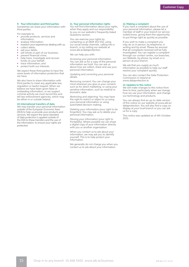#### 9. Your information and third parties

Sometimes we share your information with third parties.

For example to:

- provide products, services and
- information;
- analyse information;
- research your experiences dealing with us; • collect debts;
- sell your debts;
- sell whole or part of our business;
- prevent financial crime;
- help trace, investigate and recover funds on your behalf;
- trace information; and
- protect both our interests.

We expect these third parties to have the same levels of information protection that we have.

We also have to share information with third parties to meet any applicable law, regulation or lawful request. When we believe we have been given false or misleading information, or we suspect criminal activity we must record this and tell law enforcement agencies, which may be either in or outside Ireland.

#### 10.International transfers of data

We may transfer your personal information outside of the European Economic Area (EEA) to help us provide your products and services. We expect the same standard of data protection is applied outside of the EEA to these transfers and the use of the information, to ensure your rights are protected.

#### 11. Your personal information rights

You will find information about your rights, when they apply and our responsibility to you on our website's Frequently Asked Questions section.

You can exercise your rights by contacting us at 0818 303 032, using our social media channels, calling into a branch, or by visiting our website at www.aib.ie/dataprotection.

We can help you with:

*Accessing your personal information:*  You can ask us for a copy of the personal information we hold. You can ask us about how we collect, share and use your personal information.

*Updating and correcting your personal details.* 

*Removing consent:* You can change your mind wherever you give us your consent, such as for direct marketing, or using your sensitive information, such as medical or biometric data.

*Restricting and objecting:* You may have the right to restrict or object to us using your personal information or using automated decision making.

*Deleting your information (your right to be forgotten).* You may ask us to delete your personal information.

*Moving your information (your right to Portability).* Where possible we can share a digital copy of your information directly with you or another organisation.

When you contact us to ask about your information, we may ask you to identify yourself. This is to help protect your information.

We generally do not charge you when you contact us to ask about your information.

#### 12. Making a complaint

If you have a complaint about the use of your personal information, please let a member of staff in your branch (or service outlet) know, giving them the opportunity to put things right as quickly as possible.

If you wish to make a complaint you may do so in person, by telephone, in writing and by email. Please be assured that all complaints received will be fully investigated. You can register a complaint through our contact centre, our branches, our Website, by phone, by email or in person at your branch.

We ask that you supply as much information as possible to help our staff resolve your complaint quickly

You can also contact the Data Protection Commission in Ireland at www.dataprotection.ie.

#### 13.Updates to this notice

We will make changes to this notice from time to time, particularly when we change how we use your information, and change our technology and products.

You can always find an up-to-date version of this notice on our website at www.aib.ie/ dataprotection. You will also find a copy on display at your local branch or you can ask us for a copy.

This notice was updated as of 4th October 2021.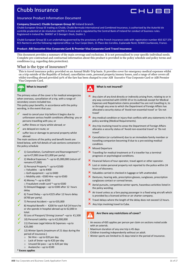## Chubb Insurance



#### Insurance Product Information Document

#### **Company (Insurer): Chubb European Group SE** Ireland branch.

Chubb European Group SE trading as Chubb, Chubb Bermuda International and Combined Insurance, is authorised by the Autorité de contrôle prudentiel et de résolution (ACPR) in France and is regulated by the Central Bank of Ireland for conduct of business rules. Registered in Ireland No. 904967 at 5 George's Dock, Dublin 1.

Chubb European Group SE is an undertaking governed by the provisions of the French insurance code with registration number 450 327 374 RCS Nanterre and the following registered office: La Tour Carpe Diem, 31 Place des Corolles, Esplanade Nord, 92400 Courbevoie, France.

#### **Product: AIB Executive Visa Corporate Card & Premier Visa Corporate Card Travel Insurance**

This document provides a summary of the main coverage and exclusions. It is not personalised to your specific individual needs. Complete pre-contractual and contractual information about this product is provided in the policy schedule and policy terms and conditions (e.g. regarding data protection).

#### What is the type of insurance?

This is travel insurance policy provided on an Annual Multi-Trip basis. It provides cover for emergency medical expenses whilst on a trip outside of the Republic of Ireland, cancellation costs, personal property/money losses, and a range of other covers all whilst travelling abroad provided 50% of the fare has been charged to your AIB Executive Visa Corporate Card or AIB Premier Visa Corporate Card.



#### **What is insured?**

The primary value of the cover is for medical emergencies when overseas, cancellation of a trip, with a range of secondary covers included too.

This policy pays benefits, in accordance with the policy wording, in the event that you:

- need to cancel your trip before it begins due to unforeseen serious health conditions affecting you or persons travelling with you; or
- suffer illness or injury whilst abroad; or
- are delayed en route; or
- suffer loss or damage to personal property whilst abroad

The main sections of the policy and benefit levels are listed below, with full details of sub-sections contained in the policy schedule

- 1) Cancellation, Curtailment and Rearrangement\* up to €7,000 (max €21,000 per party)
- 2) Medical Expenses \*– up to €5,000,000 (return of remains €7,000)
	- 3) Personal Property \*- up to €1500
		- o Valuables up to €400
		- o Golf equipment up to €400
		- o Mobility aids €500 Hire –up to €500
	- 4) Money \*– up to €250 o Fraudulent credit card \*–up to €500 5) Delayed Baggage – up to €300 after 12 hours delay
- 6) Travel Delay up to €225 after 12 hours delay (€700 per party).
- 7) Personal Accident up to €35,000
- 8) Hospital Benefit €200 for each full 24 hours he or she spends in hospital abroad up to €2,000 in total.
- 9) Loss of Passport/ Driving License\* –up to €1,500
- 10) Personal Liability –up to €2,000,000
- 11) Overseas Legal Advice & Expenses –up to €25,000
- 12) Winter Sports (maximum of 21 days during the period of insurance.)
	- o Ski Hire up to €20 per day
	- o Lack of Snow –up to €20 per day
	- o Unused Ski pass up to €20 per day
	- o Avalanche up to €100
- **\* Excess applies**



#### **What is not insured?**

- Any claim of any kind directly or indirectly arising from, relating to or in any way connected with COVID-19 or its outbreak except for Medical Expenses and Repatriation claims provided You are not travelling in, to or through any area to which the Department of Foreign Affairs has allocated a security status of 'Avoid non-essential travel' or 'Do not travel'
- $\mathbf{\times}$  Any medical condition or injury that conflicts with any statements in the policy wording (Medical Requirements).
- $\boldsymbol{\times}$  Any trip involving travel to areas the Department of Foreign Affairs allocates a security status of 'Avoid non-essential travel' or 'Do not travel'.
- $\boldsymbol{\times}$  Cancellation (or curtailment) due to an immediate family member or travelling companion becoming ill due to a pre-existing medical condition.
- $x$  Missed Departure
- $\mathbf{\times}$  Travelling for medical treatment or if a traveller has a terminal prognosis or psychological conditions.
- **X** Financial failure of tour operator, travel agent or other operator.
- $\overline{\mathbf{x}}$  Lost or stolen personal property not reported to the police within 24 hours of discovery.
- **X** Valuables carried in checked-in luggage or left unattended.
- Dentures, hearing aids, prescription glasses, sunglasses, prescription sunglasses contact or corneal lenses.
- $\boldsymbol{\times}$  Aerial pursuits, competitive winter sports, hazardous activities listed in the policy wording.
- $\mathbf{\times}$  Air travel unless as a fare paying passenger in a fixed wing aircraft which is provided by a licensed airline or air charter company.
- X Travel delays where the length of the delay does not exceed 12 hours.
- X Any trips involving travel to Cuba.



#### **Are there any restrictions of cover?**

- An excess of €65 applies per person per claim on sections noted aside with an asterisk.
- Maximum duration of any one trip is 45 days
- Children traveling independently without an adult.
- Winter sports are limited to 21 days total in the period of insurance.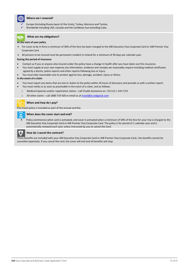

#### **Where am I covered?**

- Europe (including Russia (west of the Urals), Turkey, Morocco and Tunisia.
- Worldwide Including USA, Canada and the Caribbean but excluding Cuba.



#### **At the start of your policy**

- For cover to be in force a minimum of 50% of the fare has been charged to the AIB Executive Visa Corporate Card or AIB Premier Visa Corporate Card.
- All persons to be insured must be permanent resident in Ireland for a minimum of 90 days per calendar year.

#### **During the period of insurance**

- Contact us if you or anyone else insured under the policy have a change in health after you have taken out this insurance.
- You must supply at your own expense any information, evidence and receipts we reasonably require including medical certificates signed by a doctor, police reports and other reports following loss or injury
- You must take reasonable care to protect against loss, damage, accident, injury or illness.

#### **In the event of a claim**

- You must report any items that are lost or stolen to the police within 24 hours of discovery and provide us with a written report.
- You must notify us as soon as practicable in the event of a claim, and as follows:
	- o Medical Expenses and/or repatriation claims call Chubb Assistance on +353 (0) 1 440 2792
	- o All other claims call 1800 719 420 or email us at travel@ie.sedgwick.com



#### **When and how do I pay?**

This travel policy is included as part of the annual card fee.

#### **When does the cover start and end?**

 Policy commences when card is activated, and cover is activated when a minimum of 50% of the fare for your trip is charged to the AIB Executive Visa Corporate Card or AIB Premier Visa Corporate Card. The policy is for period of 1 calendar year and is automatically renewed each year unless instructed by you to cancel the Card.



#### **How do I cancel the contract?**

These benefits are included with your AIB Executive Visa Corporate Card or AIB Premier Visa Corporate Card.; the benefits cannot be cancelled separately. If you cancel the card, the cover will end and all benefits will stop.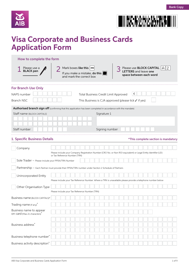





## **Visa Corporate and Business Cards Application Form**

| How to complete the form                                                                                        |  |                                                                                                                  |                                                                                    |  |  |  |  |  |  |                                                                 |  |  |  |  |       |  |                                                                                     |   |               |                                     |
|-----------------------------------------------------------------------------------------------------------------|--|------------------------------------------------------------------------------------------------------------------|------------------------------------------------------------------------------------|--|--|--|--|--|--|-----------------------------------------------------------------|--|--|--|--|-------|--|-------------------------------------------------------------------------------------|---|---------------|-------------------------------------|
| Please use a<br><b>BLACK</b> pen                                                                                |  |                                                                                                                  | Mark boxes like this<br>If you make a mistake, do this<br>and mark the correct box |  |  |  |  |  |  |                                                                 |  |  |  |  |       |  | Please use <b>BLOCK CAPITAL</b><br>LETTERS and leave one<br>space between each word | A | $\parallel$ 2 |                                     |
| <b>For Branch Use Only</b>                                                                                      |  |                                                                                                                  |                                                                                    |  |  |  |  |  |  |                                                                 |  |  |  |  |       |  |                                                                                     |   |               |                                     |
| NAPS number                                                                                                     |  |                                                                                                                  |                                                                                    |  |  |  |  |  |  | Total Business Credit Limit Approved                            |  |  |  |  | $\in$ |  |                                                                                     |   |               |                                     |
| <b>Branch NSC</b>                                                                                               |  |                                                                                                                  |                                                                                    |  |  |  |  |  |  | This Business is CJA approved (please tick $\checkmark$ if yes) |  |  |  |  |       |  |                                                                                     |   |               |                                     |
| Authorised branch sign off (confirming that this application has been completed in accordance with the mandate) |  |                                                                                                                  |                                                                                    |  |  |  |  |  |  |                                                                 |  |  |  |  |       |  |                                                                                     |   |               |                                     |
| Staff name (BLOCK CAPITALS)                                                                                     |  |                                                                                                                  |                                                                                    |  |  |  |  |  |  | Signature 1                                                     |  |  |  |  |       |  |                                                                                     |   |               |                                     |
|                                                                                                                 |  |                                                                                                                  |                                                                                    |  |  |  |  |  |  |                                                                 |  |  |  |  |       |  |                                                                                     |   |               |                                     |
| Staff number                                                                                                    |  |                                                                                                                  |                                                                                    |  |  |  |  |  |  | Signing number                                                  |  |  |  |  |       |  |                                                                                     |   |               |                                     |
| 1. Specific Business Details                                                                                    |  |                                                                                                                  |                                                                                    |  |  |  |  |  |  |                                                                 |  |  |  |  |       |  |                                                                                     |   |               | *This complete section is mandatory |
|                                                                                                                 |  |                                                                                                                  |                                                                                    |  |  |  |  |  |  |                                                                 |  |  |  |  |       |  |                                                                                     |   |               |                                     |
| Company                                                                                                         |  | Please include your Company Registration Number (CRO No. or Non ROI equivalent) or Legal Entity Identifier (LEI) |                                                                                    |  |  |  |  |  |  |                                                                 |  |  |  |  |       |  |                                                                                     |   |               |                                     |
| Sole Trader - Please include your PPSN/TRN Number                                                               |  | or Tax Reference Number (TRN)                                                                                    |                                                                                    |  |  |  |  |  |  |                                                                 |  |  |  |  |       |  |                                                                                     |   |               |                                     |
| Partnership – Each Partner must provide their PPSN/TRN number under Section 2 Schedule of Partners              |  |                                                                                                                  |                                                                                    |  |  |  |  |  |  |                                                                 |  |  |  |  |       |  |                                                                                     |   |               |                                     |
|                                                                                                                 |  |                                                                                                                  |                                                                                    |  |  |  |  |  |  |                                                                 |  |  |  |  |       |  |                                                                                     |   |               |                                     |
| Unincorporated Entity                                                                                           |  |                                                                                                                  |                                                                                    |  |  |  |  |  |  |                                                                 |  |  |  |  |       |  |                                                                                     |   |               |                                     |
|                                                                                                                 |  | Please include your Tax Reference Number. Where a TRN is unavailable please provide a telephone number below     |                                                                                    |  |  |  |  |  |  |                                                                 |  |  |  |  |       |  |                                                                                     |   |               |                                     |
| Other Organisation Type                                                                                         |  | Please include your Tax Reference Number (TRN)                                                                   |                                                                                    |  |  |  |  |  |  |                                                                 |  |  |  |  |       |  |                                                                                     |   |               |                                     |
| Business name (BLOCK CAPITALS)*                                                                                 |  |                                                                                                                  |                                                                                    |  |  |  |  |  |  |                                                                 |  |  |  |  |       |  |                                                                                     |   |               |                                     |
| Trading name (if any) <sup>*</sup>                                                                              |  |                                                                                                                  |                                                                                    |  |  |  |  |  |  |                                                                 |  |  |  |  |       |  |                                                                                     |   |               |                                     |
| Business name to appear                                                                                         |  |                                                                                                                  |                                                                                    |  |  |  |  |  |  |                                                                 |  |  |  |  |       |  |                                                                                     |   |               |                                     |
| ON Card (Max 21 characters)                                                                                     |  |                                                                                                                  |                                                                                    |  |  |  |  |  |  |                                                                 |  |  |  |  |       |  |                                                                                     |   |               |                                     |
|                                                                                                                 |  |                                                                                                                  |                                                                                    |  |  |  |  |  |  |                                                                 |  |  |  |  |       |  |                                                                                     |   |               |                                     |
| Business address <sup>*</sup>                                                                                   |  |                                                                                                                  |                                                                                    |  |  |  |  |  |  |                                                                 |  |  |  |  |       |  |                                                                                     |   |               |                                     |
|                                                                                                                 |  |                                                                                                                  |                                                                                    |  |  |  |  |  |  |                                                                 |  |  |  |  |       |  |                                                                                     |   |               |                                     |
| Business telephone number*                                                                                      |  |                                                                                                                  |                                                                                    |  |  |  |  |  |  |                                                                 |  |  |  |  |       |  |                                                                                     |   |               |                                     |
| Business activity description*                                                                                  |  |                                                                                                                  |                                                                                    |  |  |  |  |  |  |                                                                 |  |  |  |  |       |  |                                                                                     |   |               |                                     |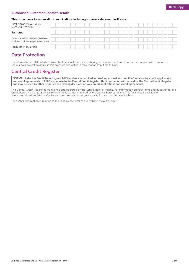#### Authorised Customer Contact Details

#### This is the name to whom all communications including summary statement will issue.

| First name (Please include<br>Mr/Mrs/Miss/Ms/Other)                   |  |  |  |  |  |  |  |  |  |  |  |  |  |
|-----------------------------------------------------------------------|--|--|--|--|--|--|--|--|--|--|--|--|--|
| Surname                                                               |  |  |  |  |  |  |  |  |  |  |  |  |  |
| Telephone Number (if different<br>to above business telephone number) |  |  |  |  |  |  |  |  |  |  |  |  |  |
| Position in business                                                  |  |  |  |  |  |  |  |  |  |  |  |  |  |

### Data Protection

For information in relation to how we collect personal information about you, how we use it and how you can interact with us about it, see our data protection notice in this brochure and online. It may change from time to time.

## Central Credit Register

NOTICE: Under the Credit Reporting Act 2013 lenders are required to provide personal and credit information for credit applications and credit agreements of €500 and above to the Central Credit Register. This information will be held on the Central Credit Register and may be used by other lenders when making decisions on your credit applications and credit agreements.

The Central Credit Register is maintained and operated by the Central Bank of Ireland. For information on your rights and duties under the Credit Reporting Act 2013 please refer to the factsheet prepared by the Central Bank of Ireland. This factsheet is available on www.centralcreditregister.ie. Copies can also be obtained at your local AIB branch and on www.aib.ie.

For further information in relation to the CCR, please refer to our website www.aib.ie/ccr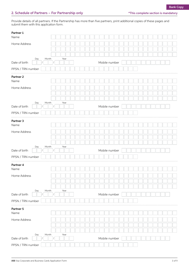Provide details of all partners. If the Partnership has more than five partners, print additional copies of these pages and submit them with this application form.

| Partner 1<br>Name                  |       |      |  |  |  |               |  |  |  |  |  |  |  |
|------------------------------------|-------|------|--|--|--|---------------|--|--|--|--|--|--|--|
| Home Address                       |       |      |  |  |  |               |  |  |  |  |  |  |  |
|                                    |       |      |  |  |  |               |  |  |  |  |  |  |  |
|                                    |       |      |  |  |  |               |  |  |  |  |  |  |  |
| Day<br>Date of birth               | Month | Year |  |  |  | Mobile number |  |  |  |  |  |  |  |
| PPSN / TRN number                  |       |      |  |  |  |               |  |  |  |  |  |  |  |
| Partner <sub>2</sub><br>Name       |       |      |  |  |  |               |  |  |  |  |  |  |  |
| Home Address                       |       |      |  |  |  |               |  |  |  |  |  |  |  |
|                                    |       |      |  |  |  |               |  |  |  |  |  |  |  |
|                                    |       |      |  |  |  |               |  |  |  |  |  |  |  |
| Day<br>Date of birth               | Month | Year |  |  |  | Mobile number |  |  |  |  |  |  |  |
| PPSN / TRN number                  |       |      |  |  |  |               |  |  |  |  |  |  |  |
| Partner 3                          |       |      |  |  |  |               |  |  |  |  |  |  |  |
| Name                               |       |      |  |  |  |               |  |  |  |  |  |  |  |
| Home Address                       |       |      |  |  |  |               |  |  |  |  |  |  |  |
|                                    |       |      |  |  |  |               |  |  |  |  |  |  |  |
| Day                                | Month | Year |  |  |  |               |  |  |  |  |  |  |  |
| Date of birth                      |       |      |  |  |  | Mobile number |  |  |  |  |  |  |  |
| PPSN / TRN number                  |       |      |  |  |  |               |  |  |  |  |  |  |  |
| Partner 4<br>Name                  |       |      |  |  |  |               |  |  |  |  |  |  |  |
| Home Address                       |       |      |  |  |  |               |  |  |  |  |  |  |  |
|                                    |       |      |  |  |  |               |  |  |  |  |  |  |  |
|                                    |       |      |  |  |  |               |  |  |  |  |  |  |  |
| Day<br>Date of birth               | Month | Year |  |  |  | Mobile number |  |  |  |  |  |  |  |
| PPSN / TRN number                  |       |      |  |  |  |               |  |  |  |  |  |  |  |
| Partner 5                          |       |      |  |  |  |               |  |  |  |  |  |  |  |
| Name                               |       |      |  |  |  |               |  |  |  |  |  |  |  |
| Home Address                       |       |      |  |  |  |               |  |  |  |  |  |  |  |
|                                    |       |      |  |  |  |               |  |  |  |  |  |  |  |
|                                    |       |      |  |  |  |               |  |  |  |  |  |  |  |
| Day                                | Month | Year |  |  |  |               |  |  |  |  |  |  |  |
| Date of birth<br>PPSN / TRN number |       |      |  |  |  | Mobile number |  |  |  |  |  |  |  |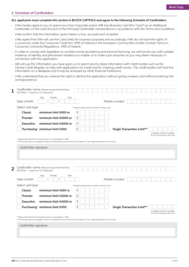#### 3. Schedule of Cardholders

#### ALL applicants must complete this section in BLOCK CAPITALS and agree to the following Schedule of Cardholders.

- I/We hereby apply to you to grant me a Visa Corporate and/or AIB Visa Business Card (the "Card") as an Additional Cardholder on the Card Account of the Principal Cardholder named above in accordance with the Terms and Conditions.
- I/We confirm that the information given herein is true, accurate and complete.
- I/We agree that I/We will use the Card solely for business purposes and accordingly I/We do not have the rights of a consumer under the Consumer Credit Act, 1995 of Ireland or the European Communities (Unfair Contract Terms in Consumer Contracts) Regulations, 1995 of Ireland.
- In order to comply with legislation to combat money laundering and terrorist financing, we will furnish you with suitable evidence of identity and permanent residence to enable us to make such enquiries as you may deem necessary in connection with this application.
- AIB will use the information you have given us to search and to share information with credit bodies such as the Central Credit Register, to help with applications for credit and for ongoing credit review. The credit bodies will hold this information on a database and it may be accessed by other financial institutions.
- I/We understand that you reserve the right to decline this application without giving a reason and without entering into correspondence.

| 1              | Ms/Other - maximum 21 characters) | Cardholder name (Please include Mr/Mrs/Miss/                                                                                                                                                  |                                              |                                   |                                                               |
|----------------|-----------------------------------|-----------------------------------------------------------------------------------------------------------------------------------------------------------------------------------------------|----------------------------------------------|-----------------------------------|---------------------------------------------------------------|
|                | Date of birth                     | Day<br>Month<br>Year                                                                                                                                                                          |                                              | Mobile number                     |                                                               |
|                | Select card type                  |                                                                                                                                                                                               | If higher please specify, whole numbers only |                                   |                                                               |
|                | Classic                           | minimum limit €650 or                                                                                                                                                                         | €                                            |                                   |                                                               |
|                | Premier                           | minimum limit €2000 or                                                                                                                                                                        | €                                            |                                   |                                                               |
|                | <b>Executive</b>                  | minimum limit €4000 or                                                                                                                                                                        | $\in$                                        |                                   |                                                               |
|                |                                   | Purchasing <sup>*</sup> minimum limit €500                                                                                                                                                    | $\in$                                        | <b>Single Transaction Limit**</b> |                                                               |
|                |                                   |                                                                                                                                                                                               |                                              |                                   | (multiples of €100, available<br>on the Purchasing Card only) |
|                |                                   | * Please note that the Purchasing Card is not available on iBB.<br>**This facility gives you greater control, by limiting the amount that can be spent in one single transaction on the card. |                                              |                                   |                                                               |
|                |                                   |                                                                                                                                                                                               |                                              |                                   |                                                               |
|                | Cardholder signature              |                                                                                                                                                                                               |                                              |                                   |                                                               |
|                |                                   |                                                                                                                                                                                               |                                              |                                   |                                                               |
|                |                                   |                                                                                                                                                                                               |                                              |                                   |                                                               |
| $\overline{2}$ | Ms/Other - maximum 21 characters) | Cardholder name (Please include Mr/Mrs/Miss/                                                                                                                                                  |                                              |                                   |                                                               |
|                | Date of birth                     | Day<br>Month<br>Year                                                                                                                                                                          |                                              | Mobile number                     |                                                               |
|                | Select card type                  |                                                                                                                                                                                               | If higher please specify, whole numbers only |                                   |                                                               |
|                | Classic                           | minimum limit €650 or                                                                                                                                                                         | €                                            |                                   |                                                               |
|                | Premier                           | minimum limit €2000 or                                                                                                                                                                        | €                                            |                                   |                                                               |
|                | <b>Executive</b>                  | minimum limit €4000 or                                                                                                                                                                        | €                                            |                                   |                                                               |
|                |                                   | Purchasing <sup>*</sup> minimum limit €500                                                                                                                                                    | €                                            | <b>Single Transaction Limit**</b> |                                                               |
|                |                                   |                                                                                                                                                                                               |                                              |                                   | (multiples of €100, available<br>on the Purchasing Card only) |
|                |                                   | * Please note that the Purchasing Card is not available on iBB.                                                                                                                               |                                              |                                   |                                                               |
|                |                                   | **This facility gives you greater control, by limiting the amount that can be spent in one single transaction on the card.                                                                    |                                              |                                   |                                                               |
|                | Cardholder signature              |                                                                                                                                                                                               |                                              |                                   |                                                               |
|                |                                   |                                                                                                                                                                                               |                                              |                                   |                                                               |
|                |                                   |                                                                                                                                                                                               |                                              |                                   |                                                               |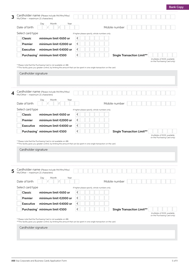| 3 | Cardholder name (Please include Mr/Mrs/Miss/<br>Ms/Other - maximum 21 characters)                                                                                                             |                                                                             |
|---|-----------------------------------------------------------------------------------------------------------------------------------------------------------------------------------------------|-----------------------------------------------------------------------------|
|   | Day<br>Month<br>Year<br>Date of birth                                                                                                                                                         | Mobile number                                                               |
|   | Select card type                                                                                                                                                                              | If higher please specify, whole numbers only                                |
|   | Classic<br>minimum limit €650 or                                                                                                                                                              | $\in$                                                                       |
|   | Premier<br>minimum limit €2000 or                                                                                                                                                             | $\in$                                                                       |
|   | Executive<br>minimum limit €4000 or                                                                                                                                                           | $\in$                                                                       |
|   | Purchasing <sup>*</sup> minimum limit €500                                                                                                                                                    | $\in$<br><b>Single Transaction Limit**</b>                                  |
|   | * Please note that the Purchasing Card is not available on iBB.<br>**This facility gives you greater control, by limiting the amount that can be spent in one single transaction on the card. | (multiples of €100, available<br>on the Purchasing Card only)               |
|   | Cardholder signature                                                                                                                                                                          |                                                                             |
| 4 | Cardholder name (Please include Mr/Mrs/Miss/<br>Ms/Other - maximum 21 characters)                                                                                                             |                                                                             |
|   | Day<br>Month<br>Year<br>Date of birth                                                                                                                                                         | Mobile number                                                               |
|   | Select card type                                                                                                                                                                              | If higher please specify, whole numbers only                                |
|   | Classic<br>minimum limit €650 or                                                                                                                                                              | €                                                                           |
|   | Premier<br>minimum limit €2000 or                                                                                                                                                             | $\in$                                                                       |
|   | Executive<br>minimum limit €4000 or                                                                                                                                                           | $\in$                                                                       |
|   | Purchasing <sup>*</sup> minimum limit €500                                                                                                                                                    | $\in$<br><b>Single Transaction Limit**</b><br>(multiples of €100, available |
|   | * Please note that the Purchasing Card is not available on iBB.<br>**This facility gives you greater control, by limiting the amount that can be spent in one single transaction on the card. | on the Purchasing Card only)                                                |
|   | Cardholder signature                                                                                                                                                                          |                                                                             |
| 5 | Cardholder name (Please include Mr/Mrs/Miss/<br>Ms/Other - maximum 21 characters)                                                                                                             |                                                                             |
|   | Day<br>Month<br>Year<br>Date of birth                                                                                                                                                         | Mobile number                                                               |
|   | Select card type                                                                                                                                                                              | If higher please specify, whole numbers only                                |
|   | Classic<br>minimum limit €650 or                                                                                                                                                              | €                                                                           |
|   | Premier<br>minimum limit €2000 or                                                                                                                                                             | $\in$                                                                       |
|   | Executive<br>minimum limit €4000 or                                                                                                                                                           | $\in$                                                                       |
|   | Purchasing <sup>*</sup> minimum limit €500                                                                                                                                                    | $\in$<br><b>Single Transaction Limit**</b><br>(multiples of €100, available |
|   | * Please note that the Purchasing Card is not available on iBB.<br>**This facility gives you greater control, by limiting the amount that can be spent in one single transaction on the card. | on the Purchasing Card only)                                                |
|   | Cardholder signature                                                                                                                                                                          |                                                                             |
|   |                                                                                                                                                                                               |                                                                             |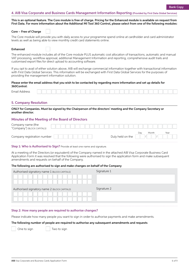#### 4. AIB Visa Corporate and Business Cards Management Information Reporting (Provided by First Data Global Services)

This is an optional feature. The Core module is free of charge. Pricing for the Enhanced module is available on request from First Data. For more information about the Additional MI Tool 360 Control, please select from one of the following modules:

|  | Core - Free of Charge |  |
|--|-----------------------|--|
|  |                       |  |

The Core module will provide you with daily access to your programme spend online at cardholder and card administrator levels as well as being able to view monthly credit card statements online.

| <b>Enhanced</b> |
|-----------------|
|-----------------|

The enhanced module includes all of the Core module PLUS automatic cost allocation of transactions, automatic and manual VAT processing, workflow approval, additional Management Information and reporting, comprehensive audit trails and customised export files for direct upload to accounting software.

If you opt to avail of either solution above, AIB will exchange commercial information together with transactional information with First Data Global Services. This information will be exchanged with First Data Global Services for the purposes of providing the management information solution.

Please enter the email address that you wish to be contacted by regarding more information and set up details for 360Control:

| Email Address |  |  |
|---------------|--|--|
|---------------|--|--|

#### 5. Company Resolution

ONLY for Companies. Must be signed by the Chairperson of the directors' meeting and the Company Secretary or another director.

#### Minutes of the Meeting of the Board of Directors

| Company name (the<br>"Company") (BLOCK CAPITALS) |  |  |  |                  |     |       |      |
|--------------------------------------------------|--|--|--|------------------|-----|-------|------|
| Company registration number                      |  |  |  | Duly held on the | Dav | Month | Year |

**Step 1: Who is Authorised to Sign?** Provide at least one name and signature.

At a meeting of the Directors (or equivalent) of the Company named in the attached AIB Visa Corporate Business Card Application Form it was resolved that the following were authorised to sign the application form and make subsequent amendments and requests on behalf of the Company.

#### The following are authorised to sign and make changes on behalf of the Company

| Authorised signatory name 1 (BLOCK CAPITALS) | Signature 1 |
|----------------------------------------------|-------------|
|                                              |             |
|                                              |             |
|                                              |             |
| Authorised signatory name 2 (BLOCK CAPITALS) | Signature 2 |
|                                              |             |

#### Step 2: How many people are required to authorise changes?

Please indicate how many people you want to sign in order to authorise payments and make amendments.

#### The following number of people are required to authorise any subsequent amendments and requests

One to sign Two to sign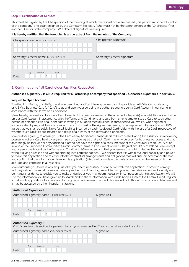#### Step 3: Certification of Minutes

This must be signed by the Chairperson of the meeting at which the resolutions were passed (this person must be a Director of the company) and countersigned by the Company Secretary (who must not be the same person as the `Chairperson') or another Director of the company. TWO different signatures are required.

#### It is hereby certified that the foregoing is a true extract from the minutes of the Company.

| Chairperson name (BLOCK CAPITALS)        | Chairperson signature        |
|------------------------------------------|------------------------------|
|                                          |                              |
|                                          |                              |
| Secretary/Director name (BLOCK CAPITALS) | Secretary/Director signature |
|                                          |                              |
|                                          |                              |
| Month<br>Day<br>Year<br>Date             |                              |

#### 6. Confirmation of all Cardholder Facilities Requested

#### Authorised Signatory 2 is ONLY required for a Partnership or company that specified 2 authorised signatories in section 5.

#### Request to Open Account

To Allied Irish Banks, p.l.c: I/We, the above described applicant hereby request you to provide an AIB Visa Corporate and/ or AIB Visa Business Card (a "Card") to us and upon your so doing we authorise you to open a Card Account in our name in accordance with the Terms and Conditions.

I/We, hereby request you to issue a Card to each of the persons named in the attached schedule(s) as an Additional Cardholder on our Card Account in accordance with the Terms and Conditions; and also from time to time to issue a Card to such other person or persons as we shall nominate in writing in a Supplemental Schedule furnished to you which, when signed or authenticated by us, shall be incorporated in and form part of the Agreement arising on acceptance of this application. I/We agree that we shall be solely liable for all liabilities incurred by each Additional Cardholder with the use of a Card irrespective of whether such liabilities are incurred as a result of a breach of the Terms and Conditions.

I/We further agree: (i) to advise you if the Card of any Additional Cardholder is to be cancelled; and (ii) to assist you in recovering possession of any Card held by any such person. I/We agree that each Card may only be used for business purposes and that accordingly neither us nor any Additional Cardholder have the rights of a consumer under the Consumer Credit Act, 1995 of Ireland or the European Communities (Unfair Contract Terms in Consumer Contracts) Regulations, 1995 of Ireland. I/We accept and agree to be bound by the Terms and Conditions. I/We understand that you reserve the right to decline this application without giving a reason and without entering into correspondence. I/We declare that it is within our legal capacity and power to make this application and to enter into the contractual arrangements and obligations that will arise on acceptance thereof and confirm that the information given in this application (which will formulate the basis of any contract between us) is true, accurate and complete in all respects.

I/We authorise you to make any enquiries that you deem necessary in connection with this application. In order to comply with legislation to combat money laundering and terrorist financing, we will furnish you with suitable evidence of identity and permanent residence to enable you to make enquiries as you may deem necessary in connection with this application. We will use the information you have given us to search and to share information with credit bodies such as the Central Credit Register, to help with applications for credit and for ongoing credit review. The credit bodies will hold this information on a database and it may be accessed by other financial institutions.

| <b>Authorised Signatory 1</b>                                                                                                                |             |
|----------------------------------------------------------------------------------------------------------------------------------------------|-------------|
| Authorised signatory name 1 (BLOCK CAPITALS)                                                                                                 | Signature 1 |
|                                                                                                                                              |             |
|                                                                                                                                              |             |
| Day<br>Month<br>Year                                                                                                                         |             |
| Date                                                                                                                                         |             |
|                                                                                                                                              |             |
| <b>Authorised Signatory 2</b><br>ONLY complete this section if a partnership or if you have specified 2 authorised signatories in section 4. |             |
| Authorised signatory name 2 (BLOCK CAPITALS)                                                                                                 | Signature 2 |
|                                                                                                                                              |             |
|                                                                                                                                              |             |
| Month<br>Day<br>Year                                                                                                                         |             |
| Date                                                                                                                                         |             |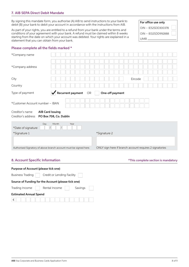#### 7. AIB SEPA Direct Debit Mandate

By signing this mandate form, you authorise (A) AIB to send instructions to your bank to debit (B) your bank to debit your account in accordance with the instructions from AIB.

As part of your rights, you are entitled to a refund from your bank under the terms and conditions of your agreement with your bank. A refund must be claimed within 8 weeks starting from the date on which your account was debited. Your rights are explained in a staturight of the date on which your account was depited. Tour rights are explained in a

OIN – IE52SDD300378 OIN – IE02SDD992888 For office use only

#### Please complete all the fields marked \*

| *Company name                                                                              |  |              |                                                         |  |  |
|--------------------------------------------------------------------------------------------|--|--------------|---------------------------------------------------------|--|--|
| *Company address                                                                           |  |              |                                                         |  |  |
| City                                                                                       |  |              | Eircode                                                 |  |  |
| Country                                                                                    |  |              |                                                         |  |  |
| $\sqrt{\phantom{a}}$ Recurrent payment<br>OR<br>Type of payment<br>One-off payment         |  |              |                                                         |  |  |
| *Customer Account number - IBAN                                                            |  |              |                                                         |  |  |
| Creditor's name<br><b>AIB Card Issuing</b><br>Creditor's address<br>PO Box 708, Co. Dublin |  |              |                                                         |  |  |
| Month<br>Day<br>Year<br>*Date of signature                                                 |  |              |                                                         |  |  |
| *Signature 1                                                                               |  | *Signature 2 |                                                         |  |  |
|                                                                                            |  |              |                                                         |  |  |
| Authorised Signatory of above branch account must be signed here.                          |  |              | ONLY sign here if branch account requires 2 signatories |  |  |

#### 8. Account Specific Information **Account Specific Information**  $*$ This complete section is mandatory

| Purpose of Account (please tick one)                |                            |         |  |  |  |
|-----------------------------------------------------|----------------------------|---------|--|--|--|
| <b>Business Trading</b>                             | Credit or Lending Facility |         |  |  |  |
| Source of Funding for the Account (please tick one) |                            |         |  |  |  |
| Trading Income                                      | Rental Income              | Savings |  |  |  |
| <b>Estimated Annual Spend</b>                       |                            |         |  |  |  |
| €                                                   |                            |         |  |  |  |